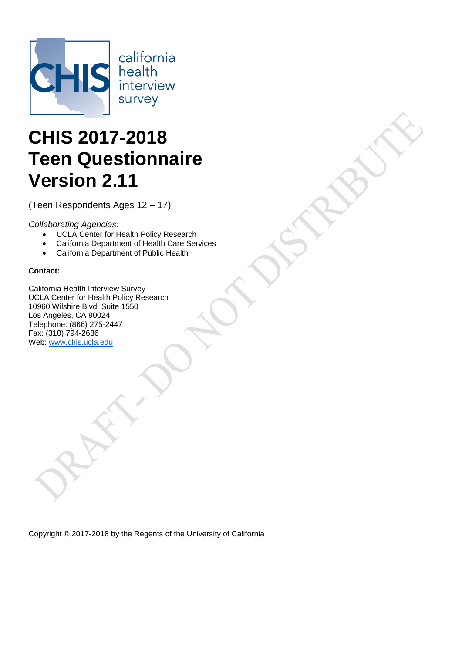

california health<br>interview survey

# **CHIS 2017-2018 Teen Questionnaire Version 2.11**

(Teen Respondents Ages 12 – 17)

*Collaborating Agencies:*

- UCLA Center for Health Policy Research
- California Department of Health Care Services
- California Department of Public Health

# **Contact:**

California Health Interview Survey UCLA Center for Health Policy Research 10960 Wilshire Blvd, Suite 1550 Los Angeles, CA 90024 Telephone: (866) 275-2447 Fax: (310) 794-2686 Web: www.chis.ucla.edu

Copyright © 2017-2018 by the Regents of the University of California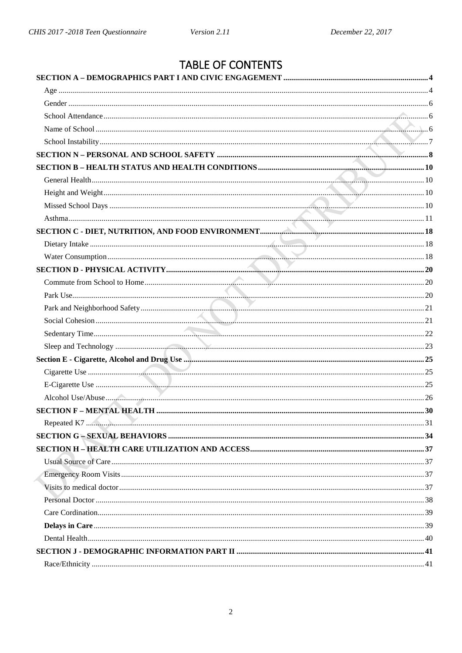# TABLE OF CONTENTS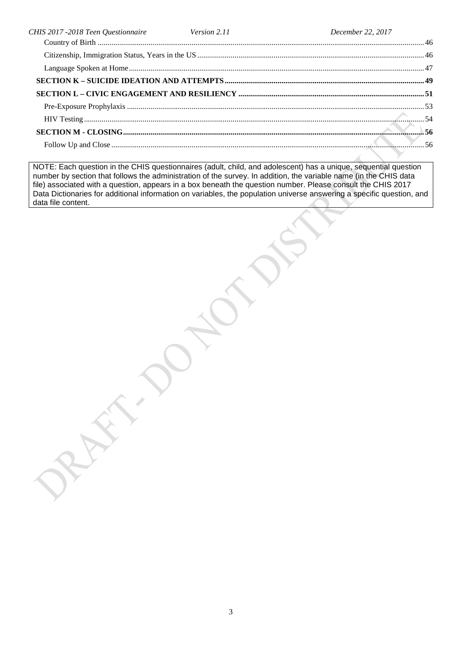| CHIS 2017 -2018 Teen Questionnaire Version 2.11 | December 22, 2017 |  |
|-------------------------------------------------|-------------------|--|
|                                                 |                   |  |
|                                                 |                   |  |
|                                                 |                   |  |
|                                                 |                   |  |
|                                                 |                   |  |
|                                                 |                   |  |
|                                                 |                   |  |
|                                                 |                   |  |
|                                                 |                   |  |
|                                                 |                   |  |

NOTE: Each question in the CHIS questionnaires (adult, child, and adolescent) has a unique, sequential question number by section that follows the administration of the survey. In addition, the variable name (in the CHIS data file) associated with a question, appears in a box beneath the question number. Please consult the CHIS 2017 Data Dictionaries for additional information on variables, the population universe answering a specific question, and data file content.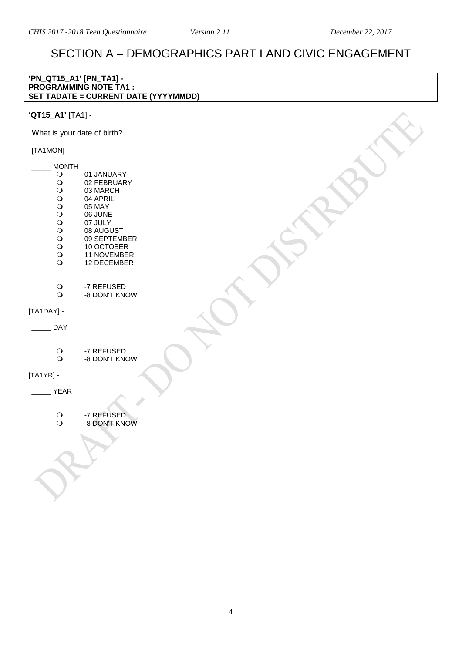# SECTION A – DEMOGRAPHICS PART I AND CIVIC ENGAGEMENT

#### **'PN\_QT15\_A1' [PN\_TA1] - PROGRAMMING NOTE TA1 : SET TADATE = CURRENT DATE (YYYYMMDD)**

# **'QT15\_A1'** [TA1] -

What is your date of birth?

# [TA1MON] -

<span id="page-3-1"></span><span id="page-3-0"></span> $\overline{\phantom{a}}$ 

| <b>MONTH</b>   |                                   |  |  |
|----------------|-----------------------------------|--|--|
|                | 01 JANUARY                        |  |  |
| 00000000000    | 02 FEBRUARY<br>03 MARCH           |  |  |
|                | 04 APRIL                          |  |  |
|                | 05 MAY                            |  |  |
|                | 06 JUNE                           |  |  |
|                | 07 JULY                           |  |  |
|                | 08 AUGUST                         |  |  |
|                | 09 SEPTEMBER                      |  |  |
|                | 10 OCTOBER                        |  |  |
|                | <b>11 NOVEMBER</b><br>12 DECEMBER |  |  |
|                |                                   |  |  |
|                |                                   |  |  |
| $\overline{O}$ | -7 REFUSED                        |  |  |
|                | -8 DON'T KNOW                     |  |  |
| [TA1DAY] -     |                                   |  |  |
| DAY            |                                   |  |  |
|                |                                   |  |  |
|                |                                   |  |  |
| $\rm _O$       | -7 REFUSED                        |  |  |
|                | -8 DON'T KNOW                     |  |  |
| $[TA1YR]$ -    |                                   |  |  |
| <b>YEAR</b>    |                                   |  |  |
|                |                                   |  |  |
|                |                                   |  |  |
| $\circ$        | -7 REFUSED                        |  |  |
|                | -8 DON'T KNOW                     |  |  |
|                |                                   |  |  |
|                |                                   |  |  |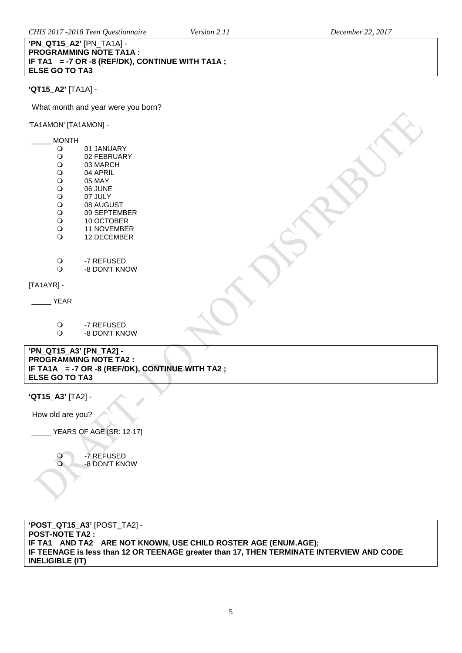#### **'PN\_QT15\_A2'** [PN\_TA1A] - **PROGRAMMING NOTE TA1A : IF TA1 = -7 OR -8 (REF/DK), CONTINUE WITH TA1A ; ELSE GO TO TA3**

# **'QT15\_A2'** [TA1A] -

What month and year were you born?

'TA1AMON' [TA1AMON] -

| <b>MONTH</b>                             |                                                                                 |  |
|------------------------------------------|---------------------------------------------------------------------------------|--|
| $\circ$                                  | 01 JANUARY                                                                      |  |
| $\circ$                                  | 02 FEBRUARY                                                                     |  |
| $\circ$                                  | 03 MARCH                                                                        |  |
| $\bigcirc$                               | 04 APRIL                                                                        |  |
| $\circ$                                  | 05 MAY                                                                          |  |
| $\bigcirc$                               | 06 JUNE                                                                         |  |
| $\circ$                                  | 07 JULY                                                                         |  |
| $\circ$<br>$\circ$                       | 08 AUGUST<br>09 SEPTEMBER                                                       |  |
| $\bigcirc$                               | 10 OCTOBER                                                                      |  |
| $\bigcirc$                               | <b>11 NOVEMBER</b>                                                              |  |
| $\circ$                                  | 12 DECEMBER                                                                     |  |
| $\circ$                                  | -7 REFUSED                                                                      |  |
| $\circ$                                  | -8 DON'T KNOW                                                                   |  |
| $[TA1AYR]$ -                             |                                                                                 |  |
| <b>YEAR</b>                              |                                                                                 |  |
| $\circ$                                  | -7 REFUSED                                                                      |  |
| $\circ$                                  | -8 DON'T KNOW                                                                   |  |
|                                          |                                                                                 |  |
| 'PN_QT15_A3' [PN_TA2] -                  | <b>PROGRAMMING NOTE TA2:</b><br>IF TA1A = -7 OR -8 (REF/DK), CONTINUE WITH TA2; |  |
| <b>ELSE GO TO TA3</b>                    |                                                                                 |  |
|                                          |                                                                                 |  |
| $M$ $T$ $I$ $E$ $A$ $2$ $I$ $T$ $A$ $21$ |                                                                                 |  |

**'QT15\_A3'** [TA2] -

How old are you?

\_\_\_\_\_ YEARS OF AGE [SR: 12-17]

O -7 REFUSED -8 DON'T KNOW

**'POST\_QT15\_A3'** [POST\_TA2] - **POST-NOTE TA2 : IF TA1 AND TA2 ARE NOT KNOWN, USE CHILD ROSTER AGE (ENUM.AGE); IF TEENAGE is less than 12 OR TEENAGE greater than 17, THEN TERMINATE INTERVIEW AND CODE INELIGIBLE (IT)**

 $\overline{a}$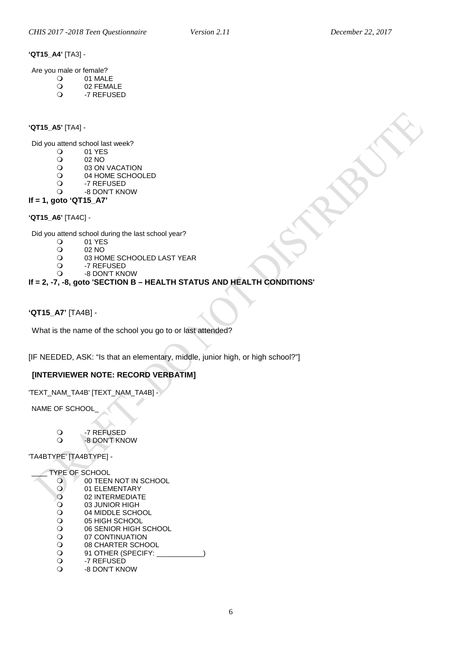# <span id="page-5-0"></span>**'QT15\_A4'** [TA3] -

Are you male or female?

- O 01 MALE<br>O 02 FEMA
- O 02 FEMALE -7 REFUSED
- 

### <span id="page-5-1"></span>**'QT15\_A5'** [TA4] -

Did you attend school last week?<br> $Q = 01$  YES

- O 01 YES<br>O 02 NO
- O 02 NO<br>O 03 ON
- O 03 ON VACATION<br>O 04 HOME SCHOO
- O 04 HOME SCHOOLED<br>O -7 REFUSED
- O -7 REFUSED<br>O -8 DON'T KN
- -8 DON'T KNOW

# **If = 1, goto 'QT15\_A7'**

**'QT15\_A6'** [TA4C] -

Did you attend school during the last school year?<br>  $Q = 01$  YES

- O 01 YES<br>O 02 NO
- O 02 NO<br>O 03 HO
- O 03 HOME SCHOOLED LAST YEAR<br>O -7 REFUSED
- O -7 REFUSED<br>O -8 DON'T KN
	- -8 DON'T KNOW

# **If = 2, -7, -8, goto 'SECTION B – HEALTH STATUS AND HEALTH CONDITIONS'**

# <span id="page-5-2"></span>**'QT15\_A7'** [TA4B] -

What is the name of the school you go to or last attended?

[IF NEEDED, ASK: "Is that an elementary, middle, junior high, or high school?"]

# **[INTERVIEWER NOTE: RECORD VERBATIM]**

'TEXT\_NAM\_TA4B' [TEXT\_NAM\_TA4B] -

NAME OF SCHOOL\_

- O -7 REFUSED
- -8 DON'T KNOW

# 'TA4BTYPE' [TA4BTYPE] -

# TYPE OF SCHOOL<br>O 00 TEEN

- O 300 TEEN NOT IN SCHOOL O

01 ELEMENTARY
O

02 INTERMEDIAT O 02 INTERMEDIATE<br>O 03 JUNIOR HIGH O 03 JUNIOR HIGH<br>O 04 MIDDLE SCHO O 04 MIDDLE SCHOOL<br>O 05 HIGH SCHOOL O 05 HIGH SCHOOL<br>O 06 SENIOR HIGH S O 06 SENIOR HIGH SCHOOL<br>O 07 CONTINUATION O 07 CONTINUATION<br>
O 08 CHARTER SCHO
	- O 08 CHARTER SCHOOL<br>
	O 91 OTHER (SPECIFY: Q 91 OTHER (SPECIFY: \_<br>Q -7 REFUSED
	- O -7 REFUSED<br>O -8 DON'T KN
		- -8 DON'T KNOW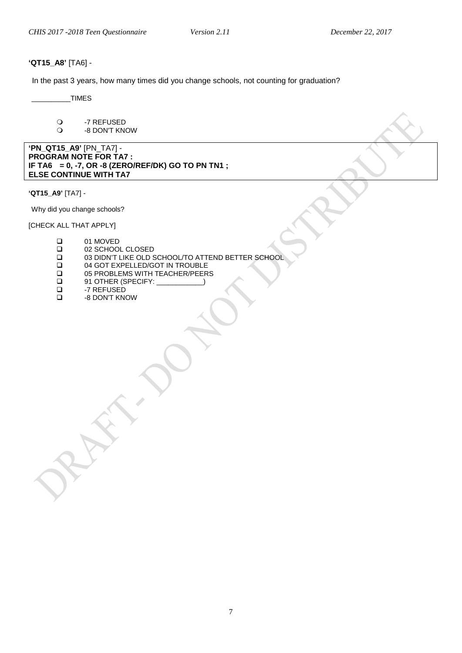# <span id="page-6-0"></span>**'QT15\_A8'** [TA6] -

In the past 3 years, how many times did you change schools, not counting for graduation?

 $_$  TIMES

 -7 REFUSED -8 DON'T KNOW

**'PN\_QT15\_A9'** [PN\_TA7] - **PROGRAM NOTE FOR TA7 : IF TA6 = 0, -7, OR -8 (ZERO/REF/DK) GO TO PN TN1 ; ELSE CONTINUE WITH TA7** 

**'QT15\_A9'** [TA7] -

Why did you change schools?

[CHECK ALL THAT APPLY]

| ❏ | 01 MOVED                                          |
|---|---------------------------------------------------|
| ❏ | 02 SCHOOL CLOSED                                  |
| ❏ | 03 DIDN'T LIKE OLD SCHOOL/TO ATTEND BETTER SCHOOL |
| ◻ | 04 GOT EXPELLED/GOT IN TROUBLE                    |
| ❏ | 05 PROBLEMS WITH TEACHER/PEERS                    |
| ❏ | 91 OTHER (SPECIFY: Sample 2012)                   |
| ◻ | -7 REFUSED                                        |
|   |                                                   |

-8 DON'T KNOW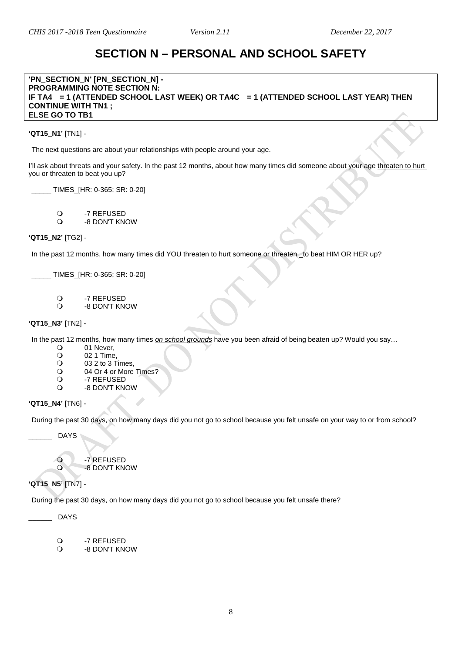# **SECTION N – PERSONAL AND SCHOOL SAFETY**

#### <span id="page-7-0"></span>**'PN\_SECTION\_N' [PN\_SECTION\_N] - PROGRAMMING NOTE SECTION N: IF TA4 = 1 (ATTENDED SCHOOL LAST WEEK) OR TA4C = 1 (ATTENDED SCHOOL LAST YEAR) THEN CONTINUE WITH TN1 ; ELSE GO TO TB1**

**'QT15\_N1'** [TN1] -

The next questions are about your relationships with people around your age.

I'll ask about threats and your safety. In the past 12 months, about how many times did someone about your age threaten to hurt you or threaten to beat you up?

\_\_\_\_\_ TIMES\_[HR: 0-365; SR: 0-20]

O -7 REFUSED<br>O -8 DON'T KN -8 DON'T KNOW

#### **'QT15\_N2'** [TG2] -

In the past 12 months, how many times did YOU threaten to hurt someone or threaten \_to beat HIM OR HER up?

\_\_\_\_\_ TIMES\_[HR: 0-365; SR: 0-20]

- O -7 REFUSED<br>O -8 DON'T KN
- -8 DON'T KNOW

#### **'QT15\_N3'** [TN2] -

In the past 12 months, how many times *on school grounds* have you been afraid of being beaten up? Would you say…

- O 01 Never,<br>O 02 1 Time
- O 02 1 Time,<br>O 03 2 to 3 T
- O 03 2 to 3 Times,<br>
O 04 Or 4 or More
- $\frac{1}{2}$  04 Or 4 or More Times?
- O -7 REFUSED<br>O -8 DON'T KN -8 DON'T KNOW

#### **'QT15\_N4'** [TN6] -

During the past 30 days, on how many days did you not go to school because you felt unsafe on your way to or from school?

\_\_\_\_\_\_ DAYS

O -7 REFUSED -8 DON'T KNOW

# **'QT15\_N5'** [TN7] -

During the past 30 days, on how many days did you not go to school because you felt unsafe there?

\_\_\_\_\_\_ DAYS

O -7 REFUSED<br>O -8 DON'T KN

-8 DON'T KNOW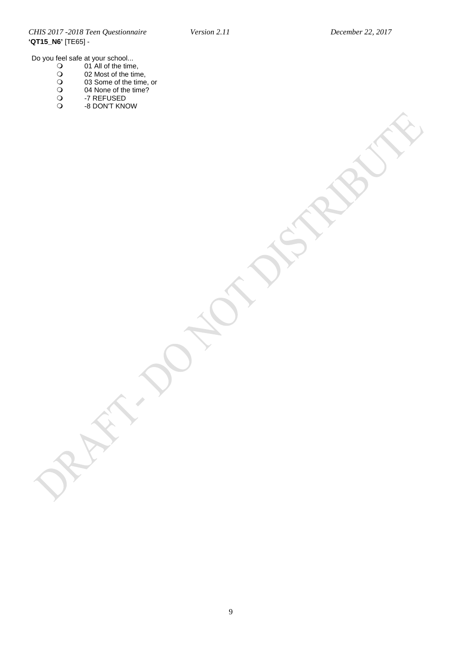*CHIS 2017 -2018 Teen Questionnaire Version 2.11 December 22, 2017* **'QT15\_N6'** [TE65] -

Do you feel safe at your school...

- 01 All of the time,
- 02 Most of the time,
- 03 Some of the time, or
- 04 None of the time?
- -7 REFUSED -8 DON'T KNOW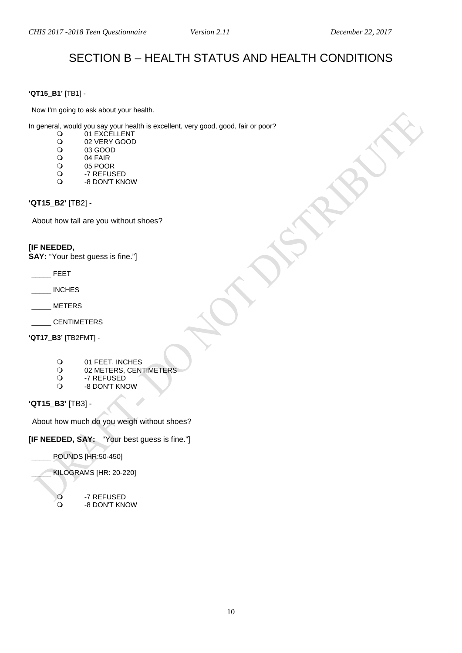# SECTION B – HEALTH STATUS AND HEALTH CONDITIONS

# <span id="page-9-1"></span><span id="page-9-0"></span>**'QT15\_B1'** [TB1] -

Now I'm going to ask about your health.

In general, would you say your health is excellent, very good, good, fair or poor?

- 01 EXCELLENT
- O 02 VERY GOOD<br>O 03 GOOD
- O 03 GOOD<br>O 04 FAIR
- O 04 FAIR<br>O 05 POOF
- O 05 POOR<br>O -7 REFUS
- O -7 REFUSED<br>O -8 DON'T KN -8 DON'T KNOW

# <span id="page-9-2"></span>**'QT15\_B2'** [TB2] -

About how tall are you without shoes?

# **[IF NEEDED,**

**SAY:** "Your best guess is fine."]

- \_\_\_\_\_ FEET
- \_\_\_\_\_ INCHES
- \_\_\_\_\_ METERS
- \_\_\_\_\_ CENTIMETERS

**'QT17\_B3'** [TB2FMT] -

- O
01 FEET, INCHES
O
02 METERS. CENT
- O 02 METERS, CENTIMETERS<br>O 7 REFUSED
- O -7 REFUSED<br>O -8 DON'T KN -8 DON'T KNOW

**'QT15\_B3'** [TB3] -

About how much do you weigh without shoes?

**[IF NEEDED, SAY:** "Your best guess is fine."]

\_\_\_\_\_ POUNDS [HR:50-450]

\_\_\_\_\_ KILOGRAMS [HR: 20-220]

<span id="page-9-3"></span>O -7 REFUSED<br>O -8 DON'T KN -8 DON'T KNOW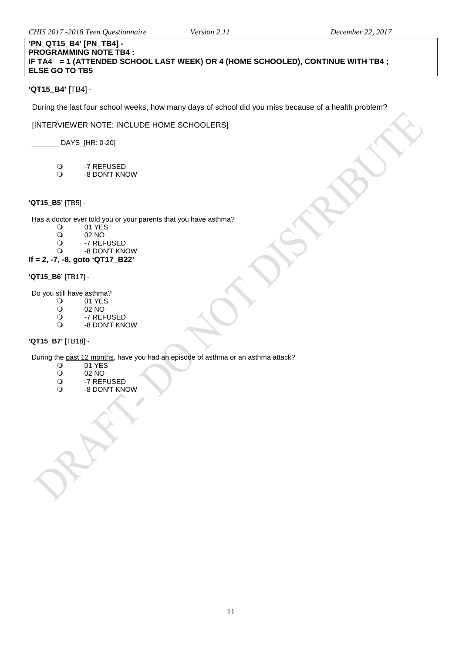# **'PN\_QT15\_B4' [PN\_TB4] - PROGRAMMING NOTE TB4 : IF TA4 = 1 (ATTENDED SCHOOL LAST WEEK) OR 4 (HOME SCHOOLED), CONTINUE WITH TB4 ; ELSE GO TO TB5**

# **'QT15\_B4'** [TB4] -

During the last four school weeks, how many days of school did you miss because of a health problem?

# [INTERVIEWER NOTE: INCLUDE HOME SCHOOLERS]

 $\_$  DAYS $\_$ [HR: 0-20]

- O -7 REFUSED<br>O -8 DON'T KN
- -8 DON'T KNOW

# <span id="page-10-0"></span>**'QT15\_B5'** [TB5] -

Has a doctor ever told you or your parents that you have asthma?<br> $Q = 01$  YES

- $\begin{array}{cc}\n\text{O} & 01 \text{ YES} \\
\text{O} & 02 \text{ NO}\n\end{array}$ 
	-
- O 02 NO<br>O -7 REF O -7 REFUSED<br>O -8 DON'T KN
- -8 DON'T KNOW

# **If = 2, -7, -8, goto 'QT17\_B22'**

# **'QT15\_B6'** [TB17] -

Do you still have asthma?<br>
O 01 YES

- 01 YES<br>02 NO
- O 02 NO<br>O -7 REF
- O -7 REFUSED<br>O -8 DON'T KN
- -8 DON'T KNOW

# **'QT15\_B7'** [TB18] -

During the <u>past 12 months</u>, have you had an episode of asthma or an asthma attack?<br>  $Q = 01$  YES

- 01 YES<br>02 NO
- O 02 NO<br>O -7 REF
- O -7 REFUSED<br>O -8 DON'T KN
- -8 DON'T KNOW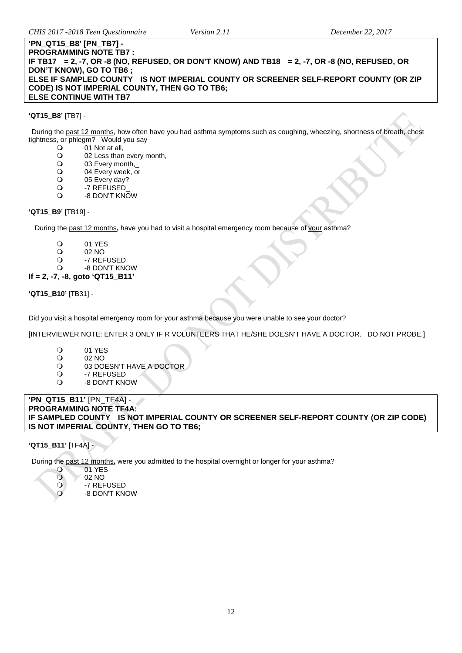#### **'PN\_QT15\_B8' [PN\_TB7] - PROGRAMMING NOTE TB7 : IF TB17 = 2, -7, OR -8 (NO, REFUSED, OR DON'T KNOW) AND TB18 = 2, -7, OR -8 (NO, REFUSED, OR DON'T KNOW), GO TO TB6 ; ELSE IF SAMPLED COUNTY IS NOT IMPERIAL COUNTY OR SCREENER SELF-REPORT COUNTY (OR ZIP CODE) IS NOT IMPERIAL COUNTY, THEN GO TO TB6; ELSE CONTINUE WITH TB7**

#### **'QT15\_B8'** [TB7] -

During the past 12 months, how often have you had asthma symptoms such as coughing, wheezing, shortness of breath, chest tightness, or phlegm? Would you say<br>O 01 Not at all,

- O 01 Not at all,<br>O 02 Less than
- O 02 Less than every month,<br>
O 03 Every month.
- O 03 Every month,<br>
O 04 Every week, o
- 04 Every week, or
- 05 Every day?
- O -7 REFUSED
- -8 DON'T KNOW

### **'QT15\_B9'** [TB19] -

During the past 12 months**,** have you had to visit a hospital emergency room because of your asthma?

- 
- O 01 YES<br>O 02 NO
- O 02 NO<br>O -7 REF
- O -7 REFUSED<br>O -8 DON'T KN -8 DON'T KNOW
- **If = 2, -7, -8, goto 'QT15\_B11'**

**'QT15\_B10'** [TB31] -

Did you visit a hospital emergency room for your asthma because you were unable to see your doctor?

[INTERVIEWER NOTE: ENTER 3 ONLY IF R VOLUNTEERS THAT HE/SHE DOESN'T HAVE A DOCTOR. DO NOT PROBE.]

- O 01 YES<br>O 02 NO
- O 02 NO<br>O 03 DO
- O 03 DOESN'T HAVE A DOCTOR<br>O 3 -7 REFUSED
- -7 REFUSED
- -8 DON'T KNOW

#### **'PN\_QT15\_B11'** [PN\_TF4A] - **PROGRAMMING NOTE TF4A: IF SAMPLED COUNTY IS NOT IMPERIAL COUNTY OR SCREENER SELF-REPORT COUNTY (OR ZIP CODE) IS NOT IMPERIAL COUNTY, THEN GO TO TB6;**

# **'QT15\_B11'** [TF4A] -

During the <u>past 12 months</u>, were you admitted to the hospital overnight or longer for your asthma?<br>
O 01 YES

- 01 YES<br>02 NO
- 02 NO<br>0 -7 REF
	- -7 REFUSED
- -8 DON'T KNOW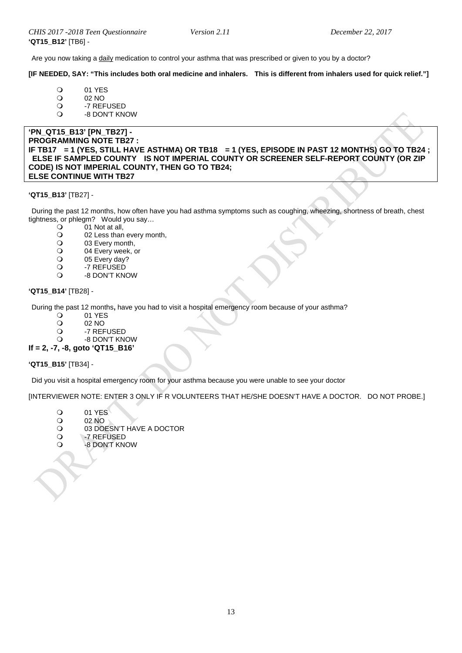Are you now taking a daily medication to control your asthma that was prescribed or given to you by a doctor?

#### **[IF NEEDED, SAY: "This includes both oral medicine and inhalers. This is different from inhalers used for quick relief."]**

- 01 YES<br>02 NO
- O 02 NO<br>O -7 REF
- O -7 REFUSED<br>O -8 DON'T KN
- -8 DON'T KNOW

#### **'PN\_QT15\_B13' [PN\_TB27] - PROGRAMMING NOTE TB27 : IF TB17 = 1 (YES, STILL HAVE ASTHMA) OR TB18 = 1 (YES, EPISODE IN PAST 12 MONTHS) GO TO TB24 ; ELSE IF SAMPLED COUNTY IS NOT IMPERIAL COUNTY OR SCREENER SELF-REPORT COUNTY (OR ZIP CODE) IS NOT IMPERIAL COUNTY, THEN GO TO TB24; ELSE CONTINUE WITH TB27**

#### **'QT15\_B13'** [TB27] -

During the past 12 months, how often have you had asthma symptoms such as coughing, wheezing, shortness of breath, chest tightness, or phlegm? Would you say...<br>  $Q = 01$  Not at all

- O 01 Not at all,<br>O 02 Less than
- O 02 Less than every month,<br>
O 03 Every month,
- O 03 Every month,<br>O 04 Every week.
- O 04 Every week, or<br>
O 05 Every day?
- O 05 Every day?<br>O -7 REFUSED
- O -7 REFUSED
- -8 DON'T KNOW

#### **'QT15\_B14'** [TB28] -

During the past 12 months**,** have you had to visit a hospital emergency room because of your asthma?

- 01 YES
- O 02 NO<br>O -7 REF
- O -7 REFUSED<br>O -8 DON'T KN

#### -8 DON'T KNOW **If = 2, -7, -8, goto 'QT15\_B16'**

# **'QT15\_B15'** [TB34] -

Did you visit a hospital emergency room for your asthma because you were unable to see your doctor

[INTERVIEWER NOTE: ENTER 3 ONLY IF R VOLUNTEERS THAT HE/SHE DOESN'T HAVE A DOCTOR. DO NOT PROBE.]

- O 01 YES
- 02 NO<br>02 NO
- O 03 DOESN'T HAVE A DOCTOR<br>O 3 -7 REFUSED
- O -7 REFUSED<br>O -8 DON'T KN
- -8 DON'T KNOW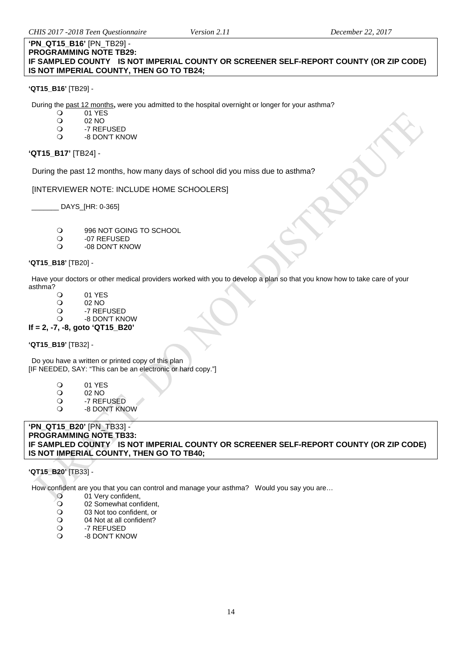#### **'PN\_QT15\_B16'** [PN\_TB29] - **PROGRAMMING NOTE TB29: IF SAMPLED COUNTY IS NOT IMPERIAL COUNTY OR SCREENER SELF-REPORT COUNTY (OR ZIP CODE) IS NOT IMPERIAL COUNTY, THEN GO TO TB24;**

#### **'QT15\_B16'** [TB29] -

During the <u>past 12 months</u>, were you admitted to the hospital overnight or longer for your asthma?<br>
O 01 YES

- 01 YES
- O 02 NO<br>O -7 REF
- O -7 REFUSED<br>O -8 DON'T KN
- -8 DON'T KNOW

# **'QT15\_B17'** [TB24] -

During the past 12 months, how many days of school did you miss due to asthma?

[INTERVIEWER NOTE: INCLUDE HOME SCHOOLERS]

\_\_\_\_\_\_\_ DAYS\_[HR: 0-365]

- 996 NOT GOING TO SCHOOL
- O -07 REFUSED<br>O -08 DON'T KN
- -08 DON'T KNOW

# **'QT15\_B18'** [TB20] -

Have your doctors or other medical providers worked with you to develop a plan so that you know how to take care of your asthma?

- O 01 YES<br>O 02 NO
- O 02 NO<br>O -7 REF
- O -7 REFUSED<br>O -8 DON'T KN -8 DON'T KNOW
- **If = 2, -7, -8, goto 'QT15\_B20'**

# **'QT15\_B19'** [TB32] -

Do you have a written or printed copy of this plan [IF NEEDED, SAY: "This can be an electronic or hard copy."]

- O 01 YES<br>O 02 NO
- O 02 NO<br>O -7 REF
- O -7 REFUSED<br>O -8 DON'T KN
- -8 DON'T KNOW

### **'PN\_QT15\_B20'** [PN\_TB33] - **PROGRAMMING NOTE TB33: IF SAMPLED COUNTY IS NOT IMPERIAL COUNTY OR SCREENER SELF-REPORT COUNTY (OR ZIP CODE) IS NOT IMPERIAL COUNTY, THEN GO TO TB40;**

#### **'QT15\_B20'** [TB33] -

How confident are you that you can control and manage your asthma? Would you say you are...

- O 01 Very confident,<br>
Q 02 Somewhat con
- O 02 Somewhat confident,<br>O 03 Not too confident, or
- O 03 Not too confident, or<br>
O 04 Not at all confident?
- 04 Not at all confident?
- -7 REFUSED
- -8 DON'T KNOW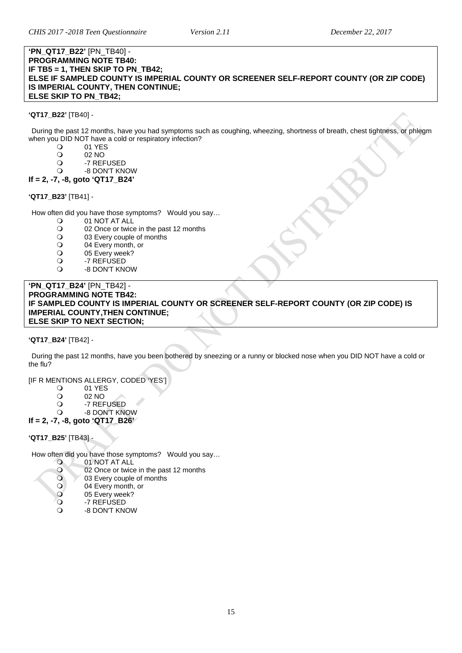#### **'PN\_QT17\_B22'** [PN\_TB40] - **PROGRAMMING NOTE TB40: IF TB5 = 1, THEN SKIP TO PN\_TB42; ELSE IF SAMPLED COUNTY IS IMPERIAL COUNTY OR SCREENER SELF-REPORT COUNTY (OR ZIP CODE) IS IMPERIAL COUNTY, THEN CONTINUE; ELSE SKIP TO PN\_TB42;**

### **'QT17\_B22'** [TB40] -

During the past 12 months, have you had symptoms such as coughing, wheezing, shortness of breath, chest tightness, or phlegm when you DID NOT have a cold or respiratory infection?<br>
O 01 YES

- O 01 YES<br>O 02 NO
- O 02 NO<br>O -7 REF
- O -7 REFUSED
- -8 DON'T KNOW
- **If = 2, -7, -8, goto 'QT17\_B24'**

#### **'QT17\_B23'** [TB41] -

How often did you have those symptoms? Would you say...<br>  $Q = 01 \text{ NOT AT AI}$ 

- 01 NOT AT ALL
	- O 02 Once or twice in the past 12 months<br>
	O 03 Every couple of months
	- O 03 Every couple of months<br>
	O 04 Every month, or
	- O 04 Every month, or<br>
	O 05 Every week?
	- O 05 Every week?<br>Q -7 REFUSED
	- O -7 REFUSED<br>O -8 DON'T KN
- -8 DON'T KNOW ALLERGY SYMPTOMS (IMPERIAL COUNTY)

#### **'PN\_QT17\_B24'** [PN\_TB42] - **PROGRAMMING NOTE TB42: IF SAMPLED COUNTY IS IMPERIAL COUNTY OR SCREENER SELF-REPORT COUNTY (OR ZIP CODE) IS IMPERIAL COUNTY,THEN CONTINUE; ELSE SKIP TO NEXT SECTION;**

# **'QT17\_B24'** [TB42] -

During the past 12 months, have you been bothered by sneezing or a runny or blocked nose when you DID NOT have a cold or the flu?

[IF R MENTIONS ALLERGY, CODED 'YES']

- O 01 YES<br>O 02 NO
- O 02 NO<br>O -7 REF
- O -7 REFUSED
- -8 DON'T KNOW

# **If = 2, -7, -8, goto 'QT17\_B26'**

**'QT17\_B25'** [TB43] -

How often did you have those symptoms? Would you say...<br>
O 01 NOT AT ALL

- O 01 NOT AT ALL
- 0 02 Once or twice in the past 12 months<br>0 03 Every couple of months
- 03 Every couple of months<br>04 Every month, or
- O 04 Every month, or<br>
O 05 Every week?
- 05 Every week?
- O →7 REFUSED<br>O →8 DON'T KN
- -8 DON'T KNOW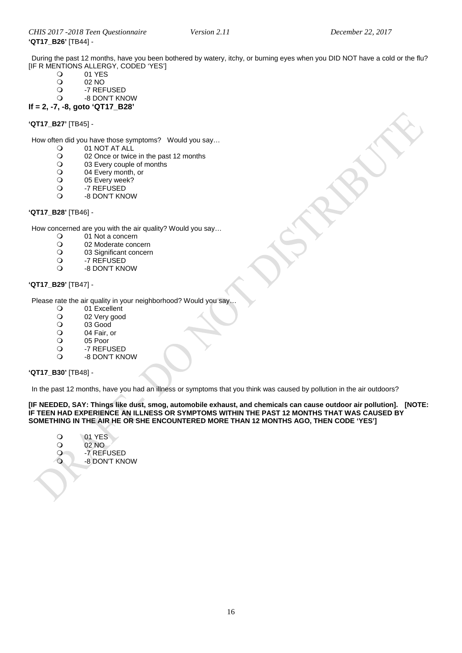During the past 12 months, have you been bothered by watery, itchy, or burning eyes when you DID NOT have a cold or the flu? [IF R MENTIONS ALLERGY, CODED 'YES']<br>
O
01 YES

- O 01 YES<br>O 02 NO
- O 02 NO<br>O -7 REF
- O -7 REFUSED<br>O -8 DON'T KN
- -8 DON'T KNOW

#### **If = 2, -7, -8, goto 'QT17\_B28'**

**'QT17\_B27'** [TB45] -

How often did you have those symptoms? Would you say...<br>
O 01 NOT AT ALL

- O 01 NOT AT ALL<br>O 02 Once or twice
- O 02 Once or twice in the past 12 months<br>
O 03 Every couple of months
- O 03 Every couple of months<br>
O 04 Every month, or
- O 04 Every month, or<br>
O 05 Every week?
- O 05 Every week?<br>
O -7 REFUSED
- O -7 REFUSED<br>O -8 DON'T KN
- -8 DON'T KNOW

#### **'QT17\_B28'** [TB46] -

How concerned are you with the air quality? Would you say…

- $\begin{matrix} 0 & 01 \ 0 & 02 \end{matrix}$  Moderate concern
- O 02 Moderate concern<br>
O 03 Significant concern
- O 03 Significant concern<br>
O -7 REFUSED
- O -7 REFUSED<br>O -8 DON'T KN
- -8 DON'T KNOW

### **'QT17\_B29'** [TB47] -

Please rate the air quality in your neighborhood? Would you say..<br>  $Q = 01$  Excellent

- O 01 Excellent<br>O 02 Very good
- O 02 Very good<br>O 03 Good
- O 03 Good<br>O 04 Fair, c
- O 04 Fair, or<br>O 05 Poor
- O
05 Poor
0
5<br>
0
7
REFL
- 
- O -7 REFUSED<br>O -8 DON'T KN -8 DON'T KNOW

#### **'QT17\_B30'** [TB48] -

In the past 12 months, have you had an illness or symptoms that you think was caused by pollution in the air outdoors?

**[IF NEEDED, SAY: Things like dust, smog, automobile exhaust, and chemicals can cause outdoor air pollution]. [NOTE: IF TEEN HAD EXPERIENCE AN ILLNESS OR SYMPTOMS WITHIN THE PAST 12 MONTHS THAT WAS CAUSED BY SOMETHING IN THE AIR HE OR SHE ENCOUNTERED MORE THAN 12 MONTHS AGO, THEN CODE 'YES']**

- 01 YES<br>02 NO 02 NO<br>Q -7 REF -7 REFUSED
- -8 DON'T KNOW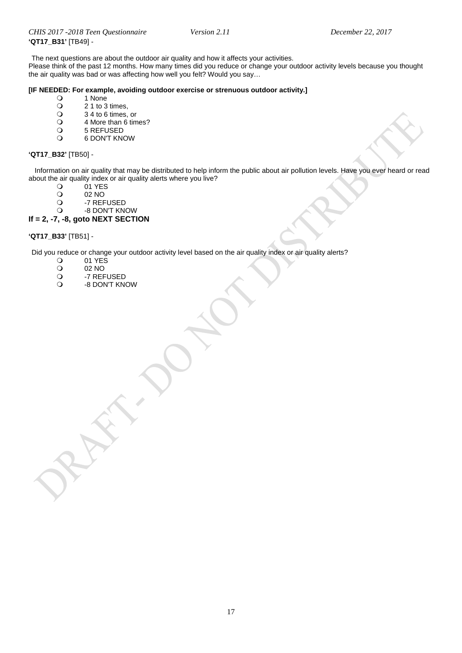The next questions are about the outdoor air quality and how it affects your activities.

Please think of the past 12 months. How many times did you reduce or change your outdoor activity levels because you thought the air quality was bad or was affecting how well you felt? Would you say…

# **[IF NEEDED: For example, avoiding outdoor exercise or strenuous outdoor activity.]**

- 0 1 None<br>0 2 1 to 3
- $\begin{array}{cc}\n\text{O} & 21 \text{ to } 3 \text{ times}, \\
\text{O} & 34 \text{ to } 6 \text{ times},\n\end{array}$
- $\begin{array}{cc}\n\mathbf{Q} & 34 \text{ to } 6 \text{ times, or} \\
\mathbf{Q} & 4 \text{ More than } 6 \text{ time}\n\end{array}$
- O 4 More than 6 times?<br>O 5 REFUSED
- O 5 REFUSED<br>O 6 DON'T KN
- 6 DON'T KNOW

#### **'QT17\_B32'** [TB50] -

 Information on air quality that may be distributed to help inform the public about air pollution levels. Have you ever heard or read about the air quality index or air quality alerts where you live?<br>O 1 YES

- 01 YES<br>02 NO
- O 02 NO<br>O -7 REF
- O -7 REFUSED<br>O -8 DON'T KN
- -8 DON'T KNOW

### **If = 2, -7, -8, goto NEXT SECTION**

#### **'QT17\_B33'** [TB51] -

Did you reduce or change your outdoor activity level based on the air quality index or air quality alerts?<br>
<br>
O 01 YES

- $\begin{array}{cc}\n\text{O} & 01 \text{ YE} \text{S} \\
\text{O} & 02 \text{ NO}\n\end{array}$
- O 02 NO<br>O -7 REF
- O -7 REFUSED<br>O -8 DON'T KN
- -8 DON'T KNOW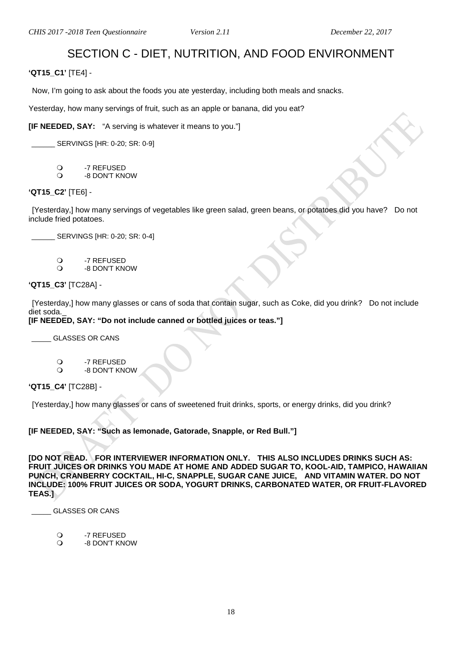# SECTION C - DIET, NUTRITION, AND FOOD ENVIRONMENT

<span id="page-17-1"></span><span id="page-17-0"></span>**'QT15\_C1'** [TE4] -

Now, I'm going to ask about the foods you ate yesterday, including both meals and snacks.

Yesterday, how many servings of fruit, such as an apple or banana, did you eat?

**[IF NEEDED, SAY:** "A serving is whatever it means to you."]

SERVINGS [HR: 0-20; SR: 0-9]

- O -7 REFUSED<br>O -8 DON'T KN
- -8 DON'T KNOW

**'QT15\_C2'** [TE6] -

[Yesterday,] how many servings of vegetables like green salad, green beans, or potatoes did you have? Do not include fried potatoes.

\_\_\_\_\_\_ SERVINGS [HR: 0-20; SR: 0-4]

- O -7 REFUSED<br>O -8 DON'T KN
- -8 DON'T KNOW

**'QT15\_C3'** [TC28A] -

[Yesterday,] how many glasses or cans of soda that contain sugar, such as Coke, did you drink? Do not include diet soda.

**[IF NEEDED, SAY: "Do not include canned or bottled juices or teas."]**

\_\_\_\_\_ GLASSES OR CANS

- O -7 REFUSED<br>O -8 DON'T KN
- -8 DON'T KNOW

**'QT15\_C4'** [TC28B] -

[Yesterday,] how many glasses or cans of sweetened fruit drinks, sports, or energy drinks, did you drink?

**[IF NEEDED, SAY: "Such as lemonade, Gatorade, Snapple, or Red Bull."]**

**[DO NOT READ. FOR INTERVIEWER INFORMATION ONLY. THIS ALSO INCLUDES DRINKS SUCH AS: FRUIT JUICES OR DRINKS YOU MADE AT HOME AND ADDED SUGAR TO, KOOL-AID, TAMPICO, HAWAIIAN PUNCH, CRANBERRY COCKTAIL, HI-C, SNAPPLE, SUGAR CANE JUICE, AND VITAMIN WATER. DO NOT INCLUDE: 100% FRUIT JUICES OR SODA, YOGURT DRINKS, CARBONATED WATER, OR FRUIT-FLAVORED TEAS.]**

\_\_\_\_\_ GLASSES OR CANS

- O -7 REFUSED<br>O -8 DON'T KN
- <span id="page-17-2"></span>-8 DON'T KNOW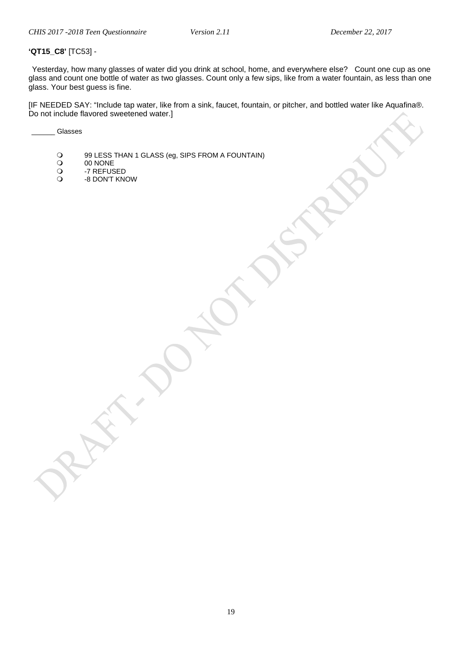### **'QT15\_C8'** [TC53] -

Yesterday, how many glasses of water did you drink at school, home, and everywhere else? Count one cup as one glass and count one bottle of water as two glasses. Count only a few sips, like from a water fountain, as less than one glass. Your best guess is fine.

[IF NEEDED SAY: "Include tap water, like from a sink, faucet, fountain, or pitcher, and bottled water like Aquafina®. Do not include flavored sweetened water.]

\_\_\_\_\_\_ Glasses

- 99 LESS THAN 1 GLASS (eg, SIPS FROM A FOUNTAIN)<br>0 00 NONE
- O 00 NONE<br>O -7 REFUS
- O -7 REFUSED<br>O -8 DON'T KN
- -8 DON'T KNOW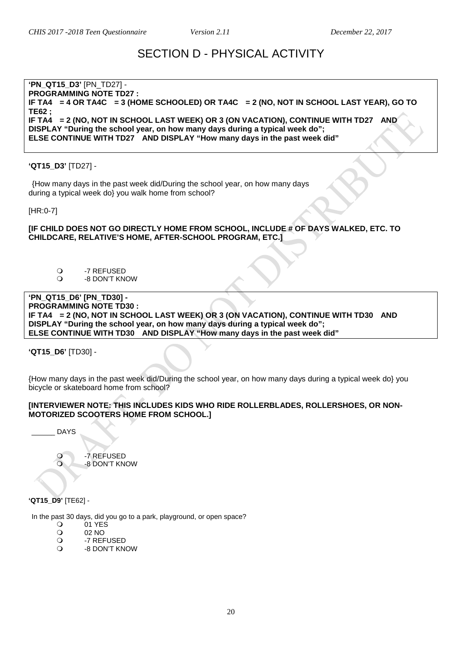# SECTION D - PHYSICAL ACTIVITY

#### <span id="page-19-1"></span><span id="page-19-0"></span>**'PN\_QT15\_D3'** [PN\_TD27] - **PROGRAMMING NOTE TD27 : IF TA4 = 4 OR TA4C = 3 (HOME SCHOOLED) OR TA4C = 2 (NO, NOT IN SCHOOL LAST YEAR), GO TO TE62 ; IF TA4 = 2 (NO, NOT IN SCHOOL LAST WEEK) OR 3 (ON VACATION), CONTINUE WITH TD27 AND DISPLAY "During the school year, on how many days during a typical week do"; ELSE CONTINUE WITH TD27 AND DISPLAY "How many days in the past week did"**

# **'QT15\_D3'** [TD27] -

{How many days in the past week did/During the school year, on how many days during a typical week do} you walk home from school?

[HR:0-7]

#### **[IF CHILD DOES NOT GO DIRECTLY HOME FROM SCHOOL, INCLUDE # OF DAYS WALKED, ETC. TO CHILDCARE, RELATIVE'S HOME, AFTER-SCHOOL PROGRAM, ETC.]**

- O -7 REFUSED
- -8 DON'T KNOW

#### **'PN\_QT15\_D6' [PN\_TD30] - PROGRAMMING NOTE TD30 : IF TA4 = 2 (NO, NOT IN SCHOOL LAST WEEK) OR 3 (ON VACATION), CONTINUE WITH TD30 AND DISPLAY "During the school year, on how many days during a typical week do"; ELSE CONTINUE WITH TD30 AND DISPLAY "How many days in the past week did"**

**'QT15\_D6'** [TD30] -

{How many days in the past week did/During the school year, on how many days during a typical week do} you bicycle or skateboard home from school?

#### **[INTERVIEWER NOTE: THIS INCLUDES KIDS WHO RIDE ROLLERBLADES, ROLLERSHOES, OR NON-MOTORIZED SCOOTERS HOME FROM SCHOOL.]**

\_\_\_\_\_\_ DAYS

O -7 REFUSED<br>O -8 DON'T KN -8 DON'T KNOW

**'QT15\_D9'** [TE62] -

<span id="page-19-2"></span>Park Use

In the past 30 days, did you go to a park, playground, or open space?<br>  $Q = 01$  YES

- O 01 YES<br>O 02 NO
- O 02 NO<br>O -7 REF
- O -7 REFUSED<br>O -8 DON'T KN -8 DON'T KNOW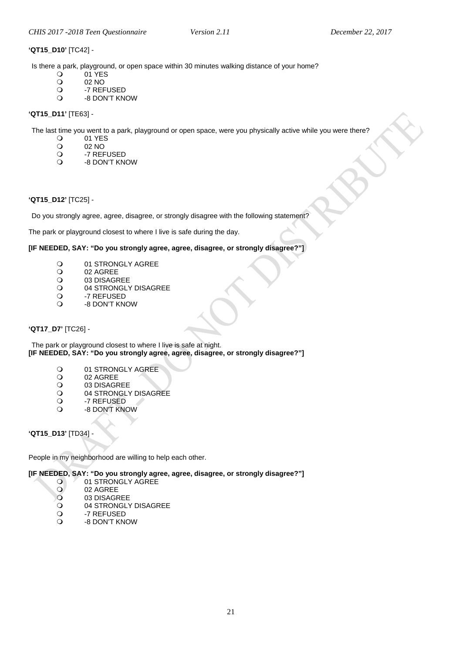## **'QT15\_D10'** [TC42] -

Is there a park, playground, or open space within 30 minutes walking distance of your home?<br>
O 01 YES

- O 01 YES<br>O 02 NO
- O 02 NO<br>O -7 REF
- O -7 REFUSED<br>O -8 DON'T KN -8 DON'T KNOW
- 

# **'QT15\_D11'** [TE63] -

The last time you went to a park, playground or open space, were you physically active while you were there?<br>  $Q = 01$  YFS

- O 01 YES<br>O 02 NO
- O 02 NO<br>O -7 REF
- O -7 REFUSED<br>O -8 DON'T KN
- -8 DON'T KNOW

#### <span id="page-20-0"></span>**'QT15\_D12'** [TC25] -

Do you strongly agree, agree, disagree, or strongly disagree with the following statement?

The park or playground closest to where I live is safe during the day.

#### **[IF NEEDED, SAY: "Do you strongly agree, agree, disagree, or strongly disagree?"]**

- O 01 STRONGLY AGREE<br>O 02 AGREE
- O 02 AGREE<br>O 03 DISAGR
- O 03 DISAGREE<br>O 04 STRONGLY
- O 04 STRONGLY DISAGREE<br>O -7 REFUSED
- O -7 REFUSED<br>O -8 DON'T KN -8 DON'T KNOW
- **'QT17\_D7'** [TC26] -

The park or playground closest to where I live is safe at night. **[IF NEEDED, SAY: "Do you strongly agree, agree, disagree, or strongly disagree?"]**

- O 01 STRONGLY AGREE<br>O 02 AGREE
- O 02 AGREE<br>O 03 DISAGR
- O 03 DISAGREE<br>O 04 STRONGLY
- O 04 STRONGLY DISAGREE<br>O -7 REFUSED
- O -7 REFUSED<br>O -8 DON'T KN
- -8 DON'T KNOW

<span id="page-20-1"></span>**'QT15\_D13'** [TD34] -

People in my neighborhood are willing to help each other.

**[IF NEEDED, SAY: "Do you strongly agree, agree, disagree, or strongly disagree?"]**

- O 01 STRONGLY AGREE
- O 02 AGREE<br>O 03 DISAGR
- O 03 DISAGREE<br>O 04 STRONGLY
- O 04 STRONGLY DISAGREE<br>O -7 REFUSED
- O -7 REFUSED<br>O -8 DON'T KN
- -8 DON'T KNOW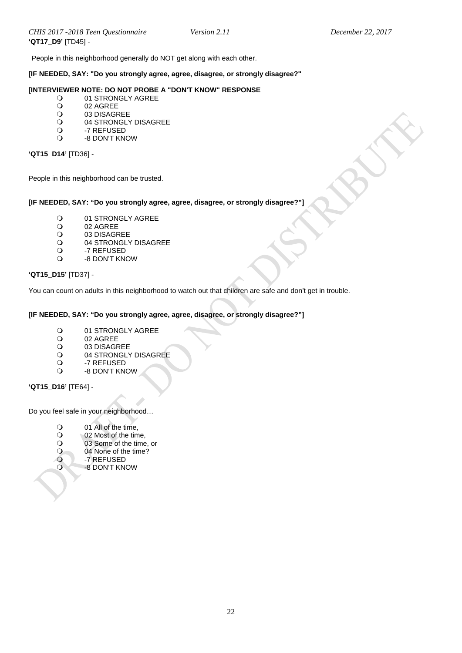People in this neighborhood generally do NOT get along with each other.

#### **[IF NEEDED, SAY: "Do you strongly agree, agree, disagree, or strongly disagree?"**

# **[INTERVIEWER NOTE: DO NOT PROBE A "DON'T KNOW" RESPONSE**

- O 01 STRONGLY AGREE<br>O 02 AGREE
- O 02 AGREE<br>O 03 DISAGR
- O 03 DISAGREE<br>O 04 STRONGLY
- O 04 STRONGLY DISAGREE<br>O -7 REFUSED
- O -7 REFUSED -8 DON'T KNOW

#### **'QT15\_D14'** [TD36] -

People in this neighborhood can be trusted.

#### **[IF NEEDED, SAY: "Do you strongly agree, agree, disagree, or strongly disagree?"]**

- O 01 STRONGLY AGREE<br>O 02 AGREE
- O 02 AGREE<br>O 03 DISAGR
- O 03 DISAGREE<br>O 04 STRONGLY
- O 04 STRONGLY DISAGREE<br>O -7 REFUSED
- O -7 REFUSED
- -8 DON'T KNOW

#### **'QT15\_D15'** [TD37] -

You can count on adults in this neighborhood to watch out that children are safe and don't get in trouble.

#### **[IF NEEDED, SAY: "Do you strongly agree, agree, disagree, or strongly disagree?"]**

- O 01 STRONGLY AGREE<br>O 02 AGREE
- O 02 AGREE<br>O 03 DISAGR
- O 03 DISAGREE<br>O 04 STRONGLY
- O 04 STRONGLY DISAGREE<br>O -7 REFUSED
- O -7 REFUSED<br>O -8 DON'T KN
- -8 DON'T KNOW

**'QT15\_D16'** [TE64] -

Do you feel safe in your neighborhood…

- O 01 All of the time,<br>O 02 Most of the time
- O 02 Most of the time,<br>O 03 Some of the time
- 03 Some of the time, or
- O 04 None of the time?<br>O -7 REFUSED
- <span id="page-21-0"></span>O -7 REFUSED<br>O -8 DON'T KN
	- -8 DON'T KNOW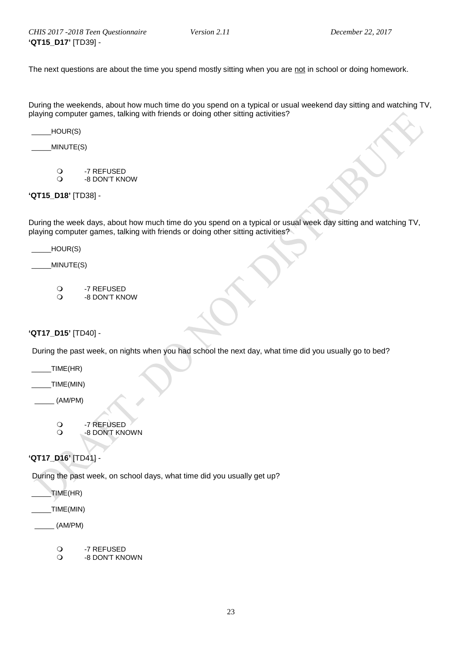The next questions are about the time you spend mostly sitting when you are not in school or doing homework.

During the weekends, about how much time do you spend on a typical or usual weekend day sitting and watching TV, playing computer games, talking with friends or doing other sitting activities?

 $_$  HOUR(S)

 $MINUTE(S)$ 

O -7 REFUSED<br>O -8 DON'T KN -8 DON'T KNOW

**'QT15\_D18'** [TD38] -

During the week days, about how much time do you spend on a typical or usual week day sitting and watching TV, playing computer games, talking with friends or doing other sitting activities?

 $_$  HOUR(S)

 $_MINUTE(S)$ 

O -7 REFUSED<br>O -8 DON'T KN -8 DON'T KNOW

<span id="page-22-0"></span>**'QT17\_D15'** [TD40] -

During the past week, on nights when you had school the next day, what time did you usually go to bed?

 $_$  TIME(HR)

 $\_TIME(MIN)$ 

 $(AM/PM)$ 

O -7 REFUSED<br>O -8 DON'T KN -8 DON'T KNOWN

# **'QT17\_D16'** [TD41] -

During the past week, on school days, what time did you usually get up?

 $_1$ TIME(HR)

\_\_\_\_\_TIME(MIN)

- $\_$  (AM/PM)
	- O -7 REFUSED<br>O -8 DON'T KN
	- -8 DON'T KNOWN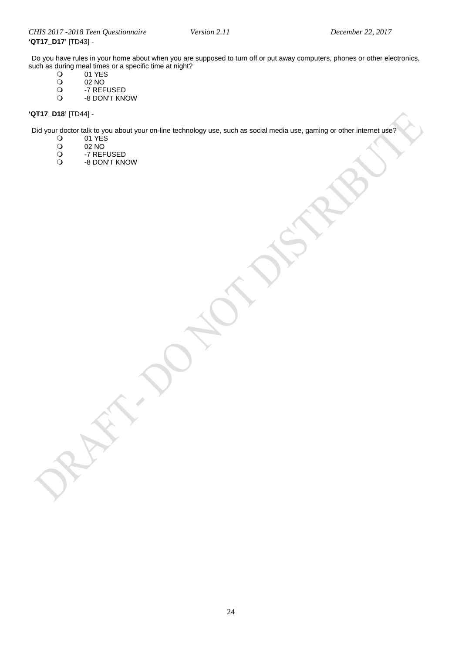Do you have rules in your home about when you are supposed to turn off or put away computers, phones or other electronics, such as during meal times or a specific time at night?<br>  $Q = 01$  YES

- 0 01 YES<br>0 02 NO<br>0 -7 REFU
- 02 NO
- O -7 REFUSED<br>O -8 DON'T KN
- -8 DON'T KNOW

# **'QT17\_D18'** [TD44] -

Did your doctor talk to you about your on-line technology use, such as social media use, gaming or other internet use?<br>
O 01 YES

- $\begin{array}{cc}\n\text{O} & 01 \text{ YES} \\
\text{O} & 02 \text{ NO}\n\end{array}$
- 02 NO<br>
0 -7 REF
- O -7 REFUSED<br>O -8 DON'T KN
- -8 DON'T KNOW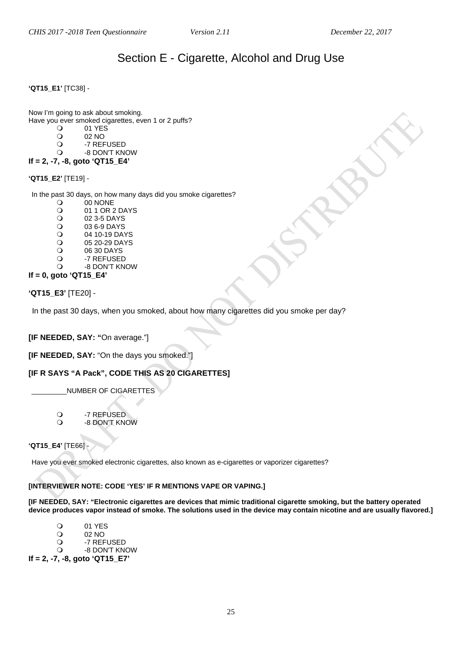# Section E - Cigarette, Alcohol and Drug Use

#### <span id="page-24-1"></span><span id="page-24-0"></span>**'QT15\_E1'** [TC38] -

Now I'm going to ask about smoking. Have you ever smoked cigarettes, even 1 or 2 puffs?<br>O 01 YES

- O 01 YES<br>O 02 NO
- O 02 NO<br>O -7 REF
- O -7 REFUSED<br>O -8 DON'T KN -8 DON'T KNOW

# **If = 2, -7, -8, goto 'QT15\_E4'**

# **'QT15\_E2'** [TE19] -

In the past 30 days, on how many days did you smoke cigarettes?

- O 00 NONE<br>Q 01 1 OR 2
- O 01 1 OR 2 DAYS<br>Q 02 3-5 DAYS
- O 02 3-5 DAYS<br>O 03 6-9 DAYS
- O 03 6-9 DAYS<br>Q 04 10-19 DAY
- O 04 10-19 DAYS<br>O 05 20-29 DAYS
- O 05 20-29 DAYS<br>O 06 30 DAYS
- O 06 30 DAYS<br>O -7 REFUSED
- O -7 REFUSED<br>O -8 DON'T KN -8 DON'T KNOW
- **If = 0, goto 'QT15\_E4'**

**'QT15\_E3'** [TE20] -

In the past 30 days, when you smoked, about how many cigarettes did you smoke per day?

# **[IF NEEDED, SAY: "**On average."]

**[IF NEEDED, SAY:** "On the days you smoked."]

# **[IF R SAYS "A Pack", CODE THIS AS 20 CIGARETTES]**

\_\_\_\_\_\_\_\_\_NUMBER OF CIGARETTES

O -7 REFUSED<br>O -8 DON'T KN -8 DON'T KNOW

<span id="page-24-2"></span>**'QT15\_E4'** [TE66] -

Have you ever smoked electronic cigarettes, also known as e-cigarettes or vaporizer cigarettes?

# **[INTERVIEWER NOTE: CODE 'YES' IF R MENTIONS VAPE OR VAPING.]**

**[IF NEEDED, SAY: "Electronic cigarettes are devices that mimic traditional cigarette smoking, but the battery operated device produces vapor instead of smoke. The solutions used in the device may contain nicotine and are usually flavored.]**

O 01 YES O 02 NO<br>O -7 REF

- O -7 REFUSED<br>O -8 DON'T KN -8 DON'T KNOW
- **If = 2, -7, -8, goto 'QT15\_E7'**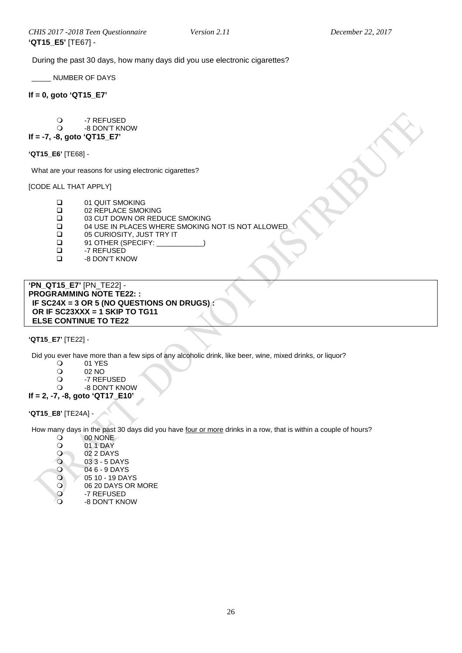During the past 30 days, how many days did you use electronic cigarettes?

\_\_\_\_\_ NUMBER OF DAYS

**If = 0, goto 'QT15\_E7'**

O -7 REFUSED<br>O -8 DON'T KN -8 DON'T KNOW

# **If = -7, -8, goto 'QT15\_E7'**

**'QT15\_E6'** [TE68] -

What are your reasons for using electronic cigarettes?

[CODE ALL THAT APPLY]

- □ 01 QUIT SMOKING<br>□ 02 REPLACE SMOK
- □ 02 REPLACE SMOKING<br>□ 03 CUT DOWN OR RED
- **□** 03 CUT DOWN OR REDUCE SMOKING<br>□ 04 USE IN PLACES WHERE SMOKING
- 04 USE IN PLACES WHERE SMOKING NOT IS NOT ALLOWED
- □ 05 CURIOSITY, JUST TRY IT<br>□ 91 OTHER (SPECIFY: \_\_\_\_
- □ 91 OTHER (SPECIFY: \_<br>□ -7 REFUSED
- –7 REFUSED<br>⊣9 DON'T KN
- -8 DON'T KNOW

**'PN\_QT15\_E7'** [PN\_TE22] - **PROGRAMMING NOTE TE22: : IF SC24X = 3 OR 5 (NO QUESTIONS ON DRUGS) : OR IF SC23XXX = 1 SKIP TO TG11 ELSE CONTINUE TO TE22**

#### **'QT15\_E7'** [TE22] -

<span id="page-25-0"></span>Alcohol Use/Abuse

Did you ever have more than a few sips of any alcoholic drink, like beer, wine, mixed drinks, or liquor?<br>
O 01 YES

- 0 01 YES<br>02 NO
- O 02 NO<br>O -7 RFF
- O -7 REFUSED<br>O -8 DON'T KN
- -8 DON'T KNOW
- **If = 2, -7, -8, goto 'QT17\_E10'**

#### **'QT15\_E8'** [TE24A] -

How many days in the past 30 days did you have <u>four or more</u> drinks in a row, that is within a couple of hours?<br>O 00 NONE

- 00 NONE<br>0011 DAY 0 01 1 DAY<br>02 2 DAY O 02 2 DAYS
- 03 3 5 DAYS<br>03 3 5 DAYS
	-
- 046 9 DAYS<br>05 10 19 DAY 05 10 - 19 DAYS<br>06 20 DAYS OR
	- 06 20 DAYS OR MORE
- -7 REFUSED
- -8 DON'T KNOW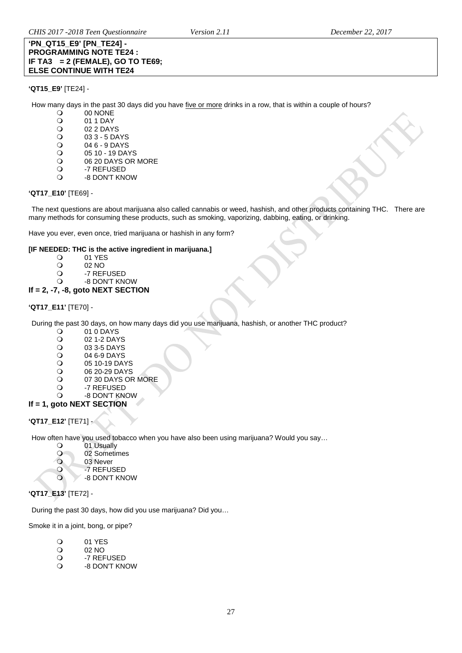#### **'PN\_QT15\_E9' [PN\_TE24] - PROGRAMMING NOTE TE24 : IF TA3 = 2 (FEMALE), GO TO TE69; ELSE CONTINUE WITH TE24**

### **'QT15\_E9'** [TE24] -

How many days in the past 30 days did you have <u>five or more</u> drinks in a row, that is within a couple of hours?<br>
O 00 NONE

- 00 NONE
- O 01 1 DAY<br>O 02 2 DAY
- O 02 2 DAYS<br>O 03 3 5 DA
- O 03 3 5 DAYS<br>O 04 6 9 DAYS
- O 04 6 9 DAYS<br>O 05 10 19 DAY
- O 05 10 19 DAYS<br>O 06 20 DAYS OR
- O 06 20 DAYS OR MORE<br>O -7 REFUSED
- O -7 REFUSED<br>O -8 DON'T KN -8 DON'T KNOW

#### **'QT17\_E10'** [TE69] -

The next questions are about marijuana also called cannabis or weed, hashish, and other products containing THC. There are many methods for consuming these products, such as smoking, vaporizing, dabbing, eating, or drinking.

Have you ever, even once, tried marijuana or hashish in any form?

# **[IF NEEDED: THC is the active ingredient in marijuana.]**

- 
- O 01 YES<br>O 02 NO
- O 02 NO<br>O -7 REF O -7 REFUSED<br>O -8 DON'T KN
- -8 DON'T KNOW

# **If = 2, -7, -8, goto NEXT SECTION**

# **'QT17\_E11'** [TE70] -

During the past 30 days, on how many days did you use marijuana, hashish, or another THC product?

- O 01 0 DAYS<br>O 02 1-2 DAY
- O 02 1-2 DAYS<br>O 03 3-5 DAYS
- O 03 3-5 DAYS<br>O 04 6-9 DAYS
- O 04 6-9 DAYS<br>O 05 10-19 DAY
- O 05 10-19 DAYS<br>O 06 20-29 DAYS
- $\begin{array}{cc}\n\text{O} & 06\ 20\text{-}29\ \text{DAYS}\n\text{O} & 07\ 30\ \text{DAYS}\ \text{OF} & \n\end{array}$
- O 07 30 DAYS OR MORE<br>O -7 REFUSED
- O -7 REFUSED<br>O -8 DON'T KN -8 DON'T KNOW
- **If = 1, goto NEXT SECTION**

# **'QT17\_E12'** [TE71] -

How often have you used tobacco when you have also been using marijuana? Would you say...<br>
O 01 Usually

- O 01 Usually<br>O 02 Sometin
- O 02 Sometimes
- O 03 Never<br>O -7 REFUS
- O -7 REFUSED<br>O -8 DON'T KN

-8 DON'T KNOW

# **'QT17\_E13'** [TE72] -

During the past 30 days, how did you use marijuana? Did you…

Smoke it in a joint, bong, or pipe?

- O 01 YES<br>O 02 NO
- O 02 NO<br>O -7 REF
- O -7 REFUSED<br>O -8 DON'T KN
- -8 DON'T KNOW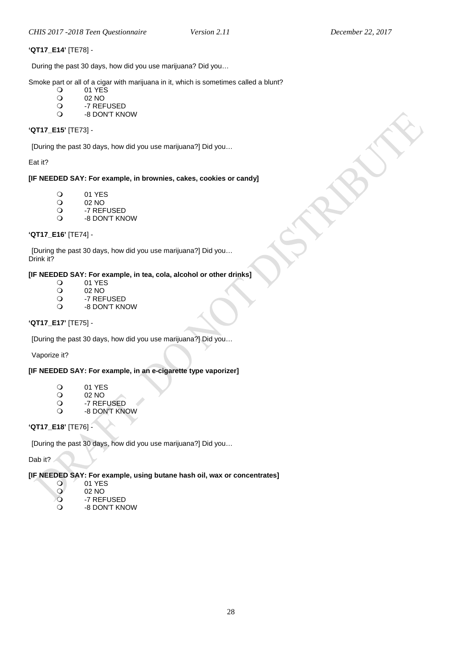#### **'QT17\_E14'** [TE78] -

During the past 30 days, how did you use marijuana? Did you…

Smoke part or all of a cigar with marijuana in it, which is sometimes called a blunt?<br>  $\bigcirc$  01 YFS

- $\begin{array}{cc}\n\text{O} & 01 \text{ YES} \\
\text{O} & 02 \text{ NO}\n\end{array}$
- O 02 NO<br>O -7 REF
- O -7 REFUSED<br>O -8 DON'T KN
- -8 DON'T KNOW

#### **'QT17\_E15'** [TE73] -

[During the past 30 days, how did you use marijuana?] Did you…

#### Eat it?

#### **[IF NEEDED SAY: For example, in brownies, cakes, cookies or candy]**

- O 01 YES<br>O 02 NO
- O 02 NO<br>O -7 REF
- O -7 REFUSED
- -8 DON'T KNOW

# **'QT17\_E16'** [TE74] -

[During the past 30 days, how did you use marijuana?] Did you… Drink it?

# **[IF NEEDED SAY: For example, in tea, cola, alcohol or other drinks]**

- O 01 YES<br>O 02 NO
- O 02 NO<br>O -7 REF
- O -7 REFUSED<br>O -8 DON'T KN
- -8 DON'T KNOW

# **'QT17\_E17'** [TE75] -

[During the past 30 days, how did you use marijuana?] Did you…

Vaporize it?

# **[IF NEEDED SAY: For example, in an e-cigarette type vaporizer]**

- 01 YES<br>02 NO
- O 02 NO<br>O -7 REF
- O -7 REFUSED<br>O -8 DON'T KN
- -8 DON'T KNOW

# **'QT17\_E18'** [TE76] -

[During the past 30 days, how did you use marijuana?] Did you…

Dab it?

#### **[IF NEEDED SAY: For example, using butane hash oil, wax or concentrates]**

- 01 YES
- 02 NO<br>
0 -7 REF
- O -7 REFUSED
- -8 DON'T KNOW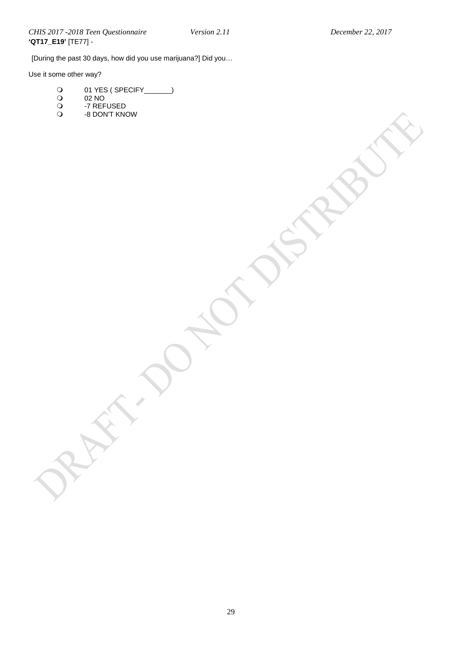[During the past 30 days, how did you use marijuana?] Did you…

Use it some other way?

- 01 YES ( SPECIFY\_\_\_\_\_\_\_)
- $\bigcirc$  02 NO
- -7 REFUSED
- -8 DON'T KNOW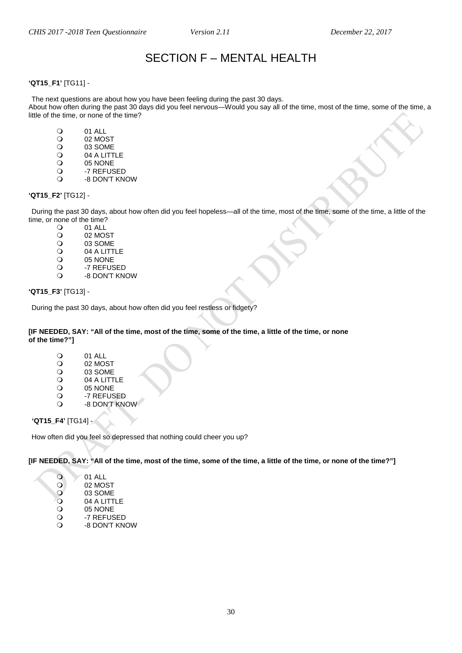# SECTION F – MENTAL HEALTH

### <span id="page-29-0"></span>**'QT15\_F1'** [TG11] -

The next questions are about how you have been feeling during the past 30 days.

About how often during the past 30 days did you feel nervous—Would you say all of the time, most of the time, some of the time, a little of the time, or none of the time?

- O 01 ALL<br>O 02 MO
- O 02 MOST<br>O 03 SOME
- O 03 SOME<br>O 04 A LITT
- O 04 A LITTLE<br>O 05 NONE
- O 05 NONE<br>O -7 REFUS
- O -7 REFUSED<br>O -8 DON'T KN -8 DON'T KNOW

#### **'QT15\_F2'** [TG12] -

During the past 30 days, about how often did you feel hopeless—all of the time, most of the time, some of the time, a little of the time, or none of the time?<br> $Q = 01$  ALL

- O 01 ALL<br>O 02 MOS
- O 02 MOST<br>O 03 SOME
- O 03 SOME<br>O 04 A LITT
- O

04 A LITTLE<br>
O

05 NONE
- 05 NONE
- O -7 REFUSED -8 DON'T KNOW

#### **'QT15\_F3'** [TG13] -

During the past 30 days, about how often did you feel restless or fidgety?

#### **[IF NEEDED, SAY: "All of the time, most of the time, some of the time, a little of the time, or none of the time?"]**

- O 01 ALL<br>O 02 MO
- O 02 MOST<br>O 03 SOME
- O 03 SOME<br>O 04 A LITT
- O

04 A LITTLE
O

05 NONE
- 05 NONE
- O -7 REFUSED -8 DON'T KNOW

**'QT15\_F4'** [TG14] -

How often did you feel so depressed that nothing could cheer you up?

**[IF NEEDED, SAY: "All of the time, most of the time, some of the time, a little of the time, or none of the time?"]**

| $\Omega$ | 01 ALL    |
|----------|-----------|
| $\Omega$ | 02 MOST   |
|          | 0.0000000 |

- $\begin{array}{cc}\n\bullet & 03 & \text{SOME} \\
\bullet & 04 & \text{ALITT}\n\end{array}$
- O 04 A LITTLE<br>O 05 NONE
- O 05 NONE<br>O -7 REFUS
- O -7 REFUSED<br>O -8 DON'T KN
- -8 DON'T KNOW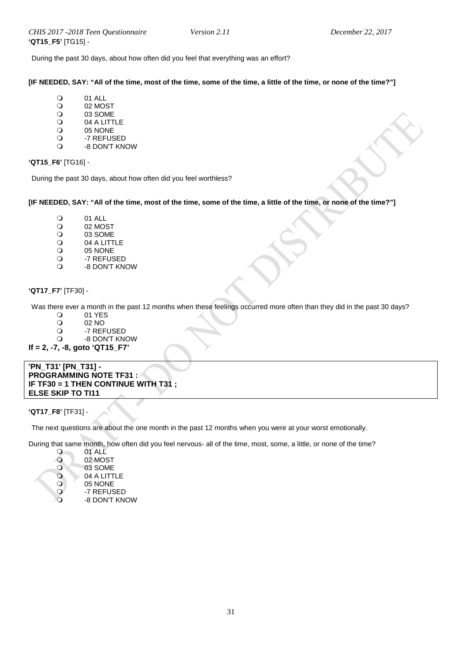During the past 30 days, about how often did you feel that everything was an effort?

**[IF NEEDED, SAY: "All of the time, most of the time, some of the time, a little of the time, or none of the time?"]**

- O 01 ALL<br>O 02 MOS
- O 02 MOST<br>O 03 SOME
- O 03 SOME<br>O 04 A LITT
- O 04 A LITTLE<br>O 05 NONE
- 05 NONE
- O -7 REFUSED<br>O -8 DON'T KN -8 DON'T KNOW

**'QT15\_F6'** [TG16] -

During the past 30 days, about how often did you feel worthless?

#### **[IF NEEDED, SAY: "All of the time, most of the time, some of the time, a little of the time, or none of the time?"]**

- O 01 ALL<br>O 02 MOS
- O 02 MOST<br>O 03 SOME
- O 03 SOME<br>O 04 A LITT
- O 04 A LITTLE<br>O 05 NONE
- 05 NONE
- O -7 REFUSED<br>O -8 DON'T KN -8 DON'T KNOW

# <span id="page-30-0"></span>**'QT17\_F7'** [TF30] -

Was there ever a month in the past 12 months when these feelings occurred more often than they did in the past 30 days?

- 
- 0 01 YES<br>02 NO O 02 NO<br>O -7 REF
- O -7 REFUSED
- -8 DON'T KNOW

**If = 2, -7, -8, goto 'QT15\_F7'**

**'PN\_T31' [PN\_T31] - PROGRAMMING NOTE TF31 : IF TF30 = 1 THEN CONTINUE WITH T31 ; ELSE SKIP TO TI11** 

#### **'QT17\_F8'** [TF31] -

The next questions are about the one month in the past 12 months when you were at your worst emotionally.

During that same month, how often did you feel nervous- all of the time, most, some, a little, or none of the time?

- 0 01 ALL O 02 MOST O 03 SOME<br>O 04 A LITT O 04 A LITTLE<br>O 05 NONE
- O 05 NONE
- O -7 REFUSED -8 DON'T KNOW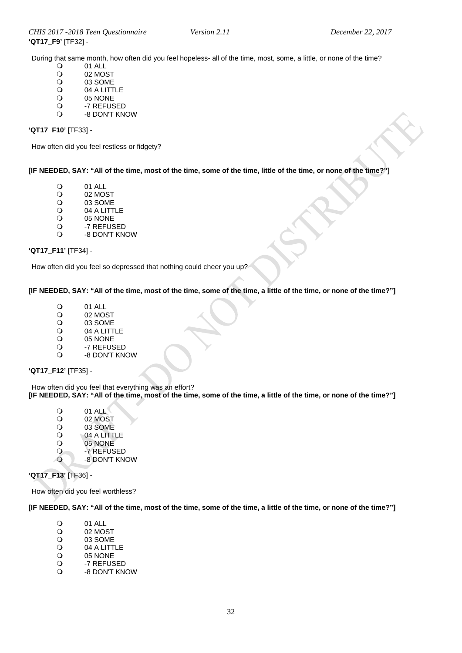During that same month, how often did you feel hopeless- all of the time, most, some, a little, or none of the time?<br>  $\bigcirc$  01 ALL

- O 01 ALL<br>O 02 MOS
- O 02 MOST<br>O 03 SOME
- O 03 SOME<br>O 04 A LITT
- O 04 A LITTLE<br>O 05 NONE
- 05 NONE
- O -7 REFUSED<br>O -8 DON'T KN
- -8 DON'T KNOW

#### **'QT17\_F10'** [TF33] -

How often did you feel restless or fidgety?

**[IF NEEDED, SAY: "All of the time, most of the time, some of the time, little of the time, or none of the time?"]**

- O 01 ALL<br>O 02 MOS
- O 02 MOST<br>O 03 SOME
- O 03 SOME<br>O 04 A LITT
- O 04 A LITTLE<br>O 05 NONE
- 05 NONE
- O -7 REFUSED<br>O -8 DON'T KN -8 DON'T KNOW

# **'QT17\_F11'** [TF34] -

How often did you feel so depressed that nothing could cheer you up?

#### **[IF NEEDED, SAY: "All of the time, most of the time, some of the time, a little of the time, or none of the time?"]**

- O 01 ALL<br>O 02 MO:
- O 02 MOST<br>O 03 SOME
- O 03 SOME<br>O 04 A LITT
- O 04 A LITTLE<br>O 05 NONE
- O 05 NONE<br>O -7 REFUS
- O -7 REFUSED<br>O -8 DON'T KN -8 DON'T KNOW

#### **'QT17\_F12'** [TF35] -

How often did you feel that everything was an effort? **[IF NEEDED, SAY: "All of the time, most of the time, some of the time, a little of the time, or none of the time?"]**

- O 01 ALL<br>O 02 MOS
- O 02 MOST<br>O 03 SOME
- O 03 SOME<br>O 04 A LITT
- O 04 A LITTLE<br>O 05 NONE
- O 05 NONE<br>O -7 REFUS
- O -7 REFUSED -8 DON'T KNOW

#### **'QT17\_F13'** [TF36] -

How often did you feel worthless?

**[IF NEEDED, SAY: "All of the time, most of the time, some of the time, a little of the time, or none of the time?"]**

- O 01 ALL<br>O 02 MOS
- O 02 MOST<br>O 03 SOME
- O 03 SOME<br>O 04 A LITT
- O 04 A LITTLE<br>O 05 NONE
- 05 NONE
- O -7 REFUSED<br>O -8 DON'T KN -8 DON'T KNOW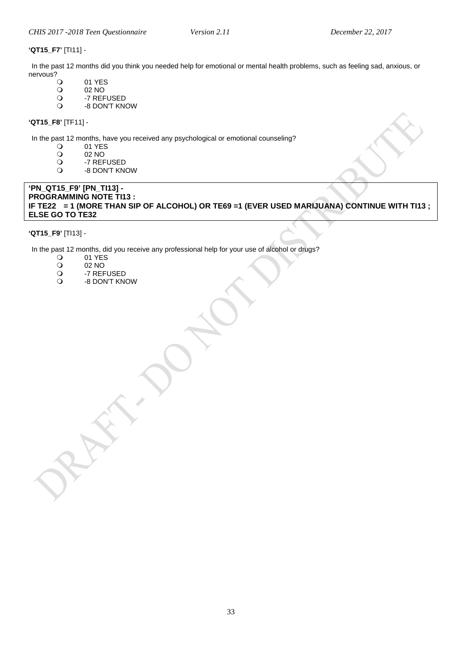#### **'QT15\_F7'** [TI11] -

In the past 12 months did you think you needed help for emotional or mental health problems, such as feeling sad, anxious, or nervous?<br>O

- O 01 YES<br>O 02 NO
- O 02 NO<br>O -7 REF
- O -7 REFUSED<br>O -8 DON'T KN
- -8 DON'T KNOW

**'QT15\_F8'** [TF11] -

In the past 12 months, have you received any psychological or emotional counseling?<br>  $Q$  01 YES

- O 01 YES<br>O 02 NO
	-
- 02 NO<br>
0 -7 REF O -7 REFUSED<br>O -8 DON'T KN
- -8 DON'T KNOW

#### **'PN\_QT15\_F9' [PN\_TI13] - PROGRAMMING NOTE TI13 : IF TE22 = 1 (MORE THAN SIP OF ALCOHOL) OR TE69 =1 (EVER USED MARIJUANA) CONTINUE WITH TI13 ; ELSE GO TO TE32**

# **'QT15\_F9'** [TI13] -

In the past 12 months, did you receive any professional help for your use of alcohol or drugs?<br>
O 01 YES

- 
- 0 01 YES<br>02 NO
- O 02 NO<br>O -7 REF O -7 REFUSED<br>O -8 DON'T KN
- -8 DON'T KNOW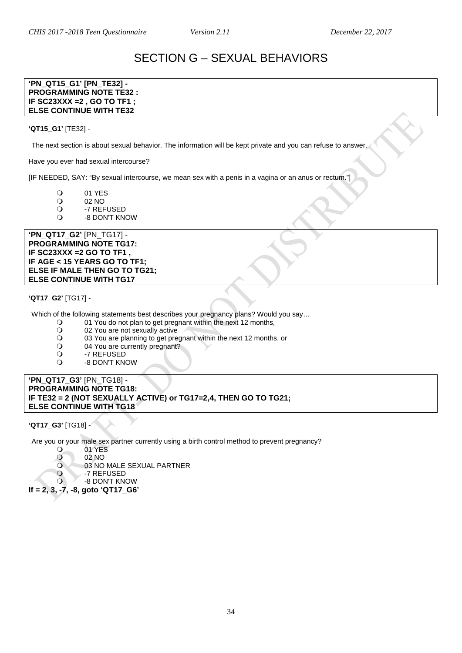# SECTION G – SEXUAL BEHAVIORS

#### <span id="page-33-0"></span>**'PN\_QT15\_G1' [PN\_TE32] - PROGRAMMING NOTE TE32 : IF SC23XXX =2 , GO TO TF1 ; ELSE CONTINUE WITH TE32**

#### **'QT15\_G1'** [TE32] -

The next section is about sexual behavior. The information will be kept private and you can refuse to answer.

Have you ever had sexual intercourse?

[IF NEEDED, SAY: "By sexual intercourse, we mean sex with a penis in a vagina or an anus or rectum."]

- 0 01 YES<br>02 NO
- O 02 NO<br>O -7 REF
- O -7 REFUSED<br>O -8 DON'T KN
- -8 DON'T KNOW

**'PN\_QT17\_G2'** [PN\_TG17] - **PROGRAMMING NOTE TG17: IF SC23XXX =2 GO TO TF1 , IF AGE < 15 YEARS GO TO TF1; ELSE IF MALE THEN GO TO TG21; ELSE CONTINUE WITH TG17**

#### **'QT17\_G2'** [TG17] -

Which of the following statements best describes your pregnancy plans? Would you say…

- O 01 You do not plan to get pregnant within the next 12 months,<br>
O 02 You are not sexually active
- O 02 You are not sexually active<br>O 03 You are planning to get pre
- O 03 You are planning to get pregnant within the next 12 months, or<br>
O 04 You are currently pregnant?
- O 04 You are currently pregnant?<br>
O -7 REFUSED
- O -7 REFUSED<br>O -8 DON'T KN
- -8 DON'T KNOW

#### **'PN\_QT17\_G3'** [PN\_TG18] - **PROGRAMMING NOTE TG18: IF TE32 = 2 (NOT SEXUALLY ACTIVE) or TG17=2,4, THEN GO TO TG21; ELSE CONTINUE WITH TG18**

#### **'QT17\_G3'** [TG18] -

Are you or your male sex partner currently using a birth control method to prevent pregnancy?

- 01 YES
- 02 NO<br>
02 NO
	- 03 NO MALE SEXUAL PARTNER
- O -7 REFUSED
- -8 DON'T KNOW

**If = 2, 3, -7, -8, goto 'QT17\_G6'**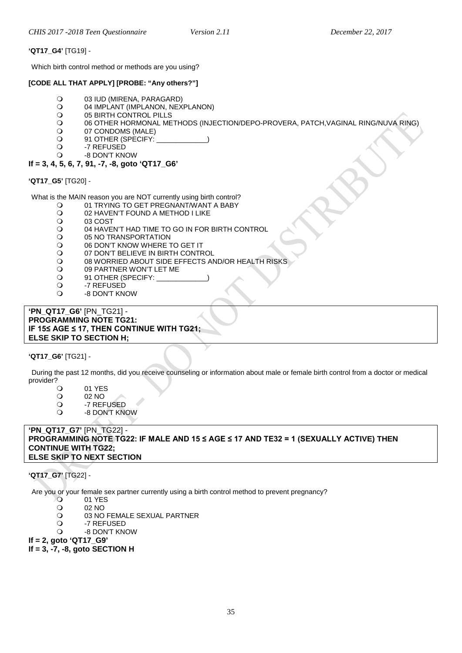#### **'QT17\_G4'** [TG19] -

Which birth control method or methods are you using?

#### **[CODE ALL THAT APPLY] [PROBE: "Any others?"]**

- O 03 IUD (MIRENA, PARAGARD)<br>O 04 IMPLANT (IMPLANON, NEX
- O 04 IMPLANT (IMPLANON, NEXPLANON)<br>O 05 BIRTH CONTROL PILLS
- O
05 BIRTH CONTROL PILLS<br>O
06 OTHER HORMONAL ME
- 06 OTHER HORMONAL METHODS (INJECTION/DEPO-PROVERA, PATCH,VAGINAL RING/NUVA RING)<br>O 07 CONDOMS (MALE)
- O 07 CONDOMS (MALE)<br>O 91 OTHER (SPECIFY:
- O 91 OTHER (SPECIFY:<br>O -7 REFUSED
- O -7 REFUSED<br>O -8 DON'T KN -8 DON'T KNOW

# **If = 3, 4, 5, 6, 7, 91, -7, -8, goto 'QT17\_G6'**

# **'QT17\_G5'** [TG20] -

What is the MAIN reason you are NOT currently using birth control?

- O 01 TRYING TO GET PREGNANT/WANT A BABY<br>O 02 HAVEN'T FOUND A METHOD I LIKE
- O 02 HAVEN'T FOUND A METHOD I LIKE<br>O 03 COST
- 
- O 03 COST<br>O 04 HAVE O 04 HAVEN'T HAD TIME TO GO IN FOR BIRTH CONTROL<br>O 05 NO TRANSPORTATION
- O 05 NO TRANSPORTATION<br>O 06 DON'T KNOW WHERE
- O 06 DON'T KNOW WHERE TO GET IT<br>O 07 DON'T BELIEVE IN BIRTH CONTR
- 07 DON'T BELIEVE IN BIRTH CONTROL
- O 08 WORRIED ABOUT SIDE EFFECTS AND/OR HEALTH RISKS<br>O 09 PARTNER WON'T LET ME
- O 09 PARTNER WON'T LET ME<br>O 91 OTHER (SPECIFY:
- O 91 OTHER (SPECIFY:<br>O -7 REFUSED
- -7 REFUSED
- -8 DON'T KNOW

#### **'PN\_QT17\_G6'** [PN\_TG21] - **PROGRAMMING NOTE TG21: IF 15≤ AGE ≤ 17, THEN CONTINUE WITH TG21; ELSE SKIP TO SECTION H;**

# **'QT17\_G6'** [TG21] -

During the past 12 months, did you receive counseling or information about male or female birth control from a doctor or medical provider?

- O 01 YES<br>O 02 NO
- O 02 NO<br>O -7 REF
- O -7 REFUSED<br>O -8 DON'T KN -8 DON'T KNOW

#### **'PN\_QT17\_G7'** [PN\_TG22] - **PROGRAMMING NOTE TG22: IF MALE AND 15 ≤ AGE ≤ 17 AND TE32 = 1 (SEXUALLY ACTIVE) THEN CONTINUE WITH TG22; ELSE SKIP TO NEXT SECTION**

# **'QT17\_G7'** [TG22] -

Are you or your female sex partner currently using a birth control method to prevent pregnancy?

- O 01 YES<br>O 02 NO
- O 02 NO<br>O 03 NO
- O 03 NO FEMALE SEXUAL PARTNER<br>O -7 REFUSED
- O -7 REFUSED<br>O -8 DON'T KN
- -8 DON'T KNOW

**If = 2, goto 'QT17\_G9' If = 3, -7, -8, goto SECTION H**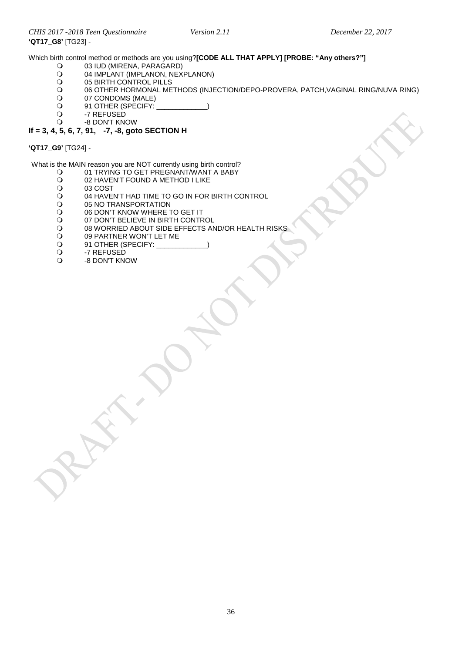Which birth control method or methods are you using?**[CODE ALL THAT APPLY] [PROBE: "Any others?"]**<br>
O 03 IUD (MIRENA, PARAGARD)

- O 03 IUD (MIRENA, PARAGARD)<br>O 04 IMPLANT (IMPLANON. NEX
- O 04 IMPLANT (IMPLANON, NEXPLANON)<br>O 05 BIRTH CONTROL PILLS
- O 05 BIRTH CONTROL PILLS<br>O 06 OTHER HORMONAL ME
- O 06 OTHER HORMONAL METHODS (INJECTION/DEPO-PROVERA, PATCH, VAGINAL RING/NUVA RING)<br>O 07 CONDOMS (MALE)
- O 07 CONDOMS (MALE)<br>
O 91 OTHER (SPECIFY:
- O 91 OTHER (SPECIFY: \_<br>O -7 REFUSED
- O -7 REFUSED<br>O -8 DON'T KNO
- -8 DON'T KNOW

#### **If = 3, 4, 5, 6, 7, 91, -7, -8, goto SECTION H**

**'QT17\_G9'** [TG24] -

What is the MAIN reason you are NOT currently using birth control?<br>O 01 TRYING TO GET PREGNANT/WANT A BABY

- O 01 TRYING TO GET PREGNANT/WANT A BABY<br>O 02 HAVEN'T FOUND A METHOD I LIKE
- O 02 HAVEN'T FOUND A METHOD I LIKE<br>O 03 COST
- O 03 COST<br>O 04 HAVE
- O 04 HAVEN'T HAD TIME TO GO IN FOR BIRTH CONTROL<br>O 05 NO TRANSPORTATION
- O 05 NO TRANSPORTATION<br>O 06 DON'T KNOW WHERE 1
- O 06 DON'T KNOW WHERE TO GET IT
- O 07 DON'T BELIEVE IN BIRTH CONTROL<br>O 08 WORRIED ABOUT SIDE EFFECTS AN
- O 08 WORRIED ABOUT SIDE EFFECTS AND/OR HEALTH RISKS<br>O 09 PARTNER WON'T LET ME
- O 09 PARTNER WON'T LET ME<br>O 91 OTHER (SPECIFY:
- Q 91 OTHER (SPECIFY: \_<br>Q -7 REFUSED
- O -7 REFUSED
- -8 DON'T KNOW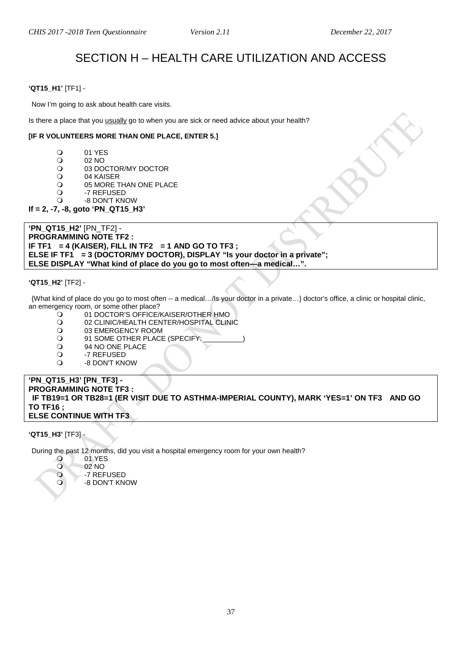# SECTION H – HEALTH CARE UTILIZATION AND ACCESS

#### <span id="page-36-1"></span><span id="page-36-0"></span>**'QT15\_H1'** [TF1] -

Now I'm going to ask about health care visits.

Is there a place that you usually go to when you are sick or need advice about your health?

#### **[IF R VOLUNTEERS MORE THAN ONE PLACE, ENTER 5.]**

- O 01 YES<br>O 02 NO
- $\begin{array}{ccc} \bigcirc & 02 \text{ NO} \\ \bigcirc & 03 \text{ DO} \end{array}$
- O 03 DOCTOR/MY DOCTOR<br>O 04 KAISER
- O 04 KAISER<br>O 05 MORE T
- O 05 MORE THAN ONE PLACE<br>O 3 -7 REFUSED
- O -7 REFUSED<br>O -8 DON'T KN -8 DON'T KNOW
- **If = 2, -7, -8, goto 'PN\_QT15\_H3'**

**'PN\_QT15\_H2'** [PN\_TF2] - **PROGRAMMING NOTE TF2 : IF TF1 = 4 (KAISER), FILL IN TF2 = 1 AND GO TO TF3 ; ELSE IF TF1 = 3 (DOCTOR/MY DOCTOR), DISPLAY "Is your doctor in a private"; ELSE DISPLAY "What kind of place do you go to most often—a medical…".**

#### **'QT15\_H2'** [TF2] -

{What kind of place do you go to most often -- a medical…/Is your doctor in a private…} doctor's office, a clinic or hospital clinic, an emergency room, or some other place?<br>01 DOCTOR'S OFFICE

- 01 DOCTOR'S OFFICE/KAISER/OTHER HMO
- O 02 CLINIC/HEALTH CENTER/HOSPITAL CLINIC<br>O 03 EMERGENCY ROOM
- O 03 EMERGENCY ROOM<br>
O 91 SOME OTHER PLACE
- 91 SOME OTHER PLACE (SPECIFY:<br>O 94 NO ONE PLACE
- O 94 NO ONE PLACE<br>O -7 REFUSED
- O -7 REFUSED<br>O -8 DON'T KN
- -8 DON'T KNOW

**'PN\_QT15\_H3' [PN\_TF3] - PROGRAMMING NOTE TF3 : IF TB19=1 OR TB28=1 (ER VISIT DUE TO ASTHMA-IMPERIAL COUNTY), MARK 'YES=1' ON TF3 AND GO TO TF16 ; ELSE CONTINUE WITH TF3** 

**'QT15\_H3'** [TF3] -

<span id="page-36-2"></span>Emergency Room Visits

During the past 12 months, did you visit a hospital emergency room for your own health?

- 0 01 YES<br>02 NO
- 02 NO<br>
02 NO<br>
-7 REF
- -7 REFUSED -8 DON'T KNOW

<span id="page-36-3"></span> $V$  and to medical doctor $2'$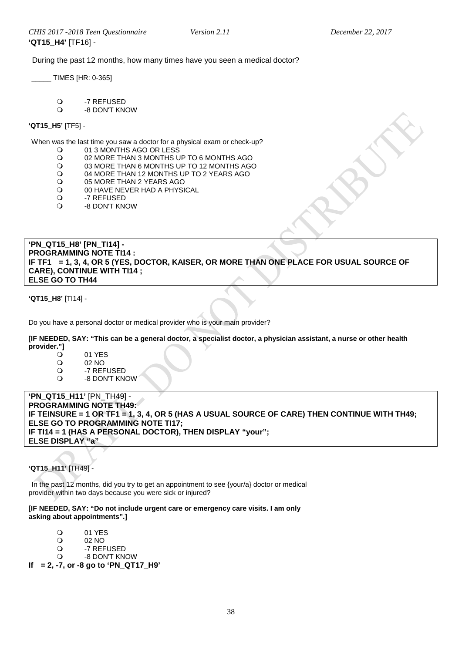During the past 12 months, how many times have you seen a medical doctor?

\_\_\_\_\_ TIMES [HR: 0-365]

O -7 REFUSED<br>Q -8 DON'T KN

-8 DON'T KNOW

#### **'QT15\_H5'** [TF5] -

When was the last time you saw a doctor for a physical exam or check-up?<br>
O 01 3 MONTHS AGO OR LESS

- O 01 3 MONTHS AGO OR LESS<br>O 02 MORE THAN 3 MONTHS U
- O 02 MORE THAN 3 MONTHS UP TO 6 MONTHS AGO<br>O 03 MORE THAN 6 MONTHS UP TO 12 MONTHS AGO
- O 03 MORE THAN 6 MONTHS UP TO 12 MONTHS AGO<br>O 04 MORE THAN 12 MONTHS UP TO 2 YEARS AGO
- O 04 MORE THAN 12 MONTHS UP TO 2 YEARS AGO<br>O 05 MORE THAN 2 YEARS AGO
- O 05 MORE THAN 2 YEARS AGO<br>O 00 HAVE NEVER HAD A PHYSI
- O OO HAVE NEVER HAD A PHYSICAL<br>O 30 -7 REFUSED
- -7 REFUSED
- -8 DON'T KNOW

<span id="page-37-0"></span>**'PN\_QT15\_H8' [PN\_TI14] - PROGRAMMING NOTE TI14 : IF TF1 = 1, 3, 4, OR 5 (YES, DOCTOR, KAISER, OR MORE THAN ONE PLACE FOR USUAL SOURCE OF CARE), CONTINUE WITH TI14 ; ELSE GO TO TH44** 

**'QT15\_H8'** [TI14] -

Do you have a personal doctor or medical provider who is your main provider?

**[IF NEEDED, SAY: "This can be a general doctor, a specialist doctor, a physician assistant, a nurse or other health provider."]**

- O 01 YES<br>O 02 NO
- O 02 NO<br>O -7 REF
- O -7 REFUSED<br>O -8 DON'T KN
- -8 DON'T KNOW

**'PN\_QT15\_H11'** [PN\_TH49] - **PROGRAMMING NOTE TH49: IF TEINSURE = 1 OR TF1 = 1, 3, 4, OR 5 (HAS A USUAL SOURCE OF CARE) THEN CONTINUE WITH TH49; ELSE GO TO PROGRAMMING NOTE TI17; IF TI14 = 1 (HAS A PERSONAL DOCTOR), THEN DISPLAY "your"; ELSE DISPLAY "a"**

# **'QT15\_H11'** [TH49] -

In the past 12 months, did you try to get an appointment to see {your/a} doctor or medical provider within two days because you were sick or injured?

#### **[IF NEEDED, SAY: "Do not include urgent care or emergency care visits. I am only asking about appointments".]**

- O 01 YES
- O 02 NO<br>O -7 REF
	- O -7 REFUSED<br>O -8 DON'T KN
	- -8 DON'T KNOW
- **If = 2, -7, or -8 go to 'PN\_QT17\_H9'**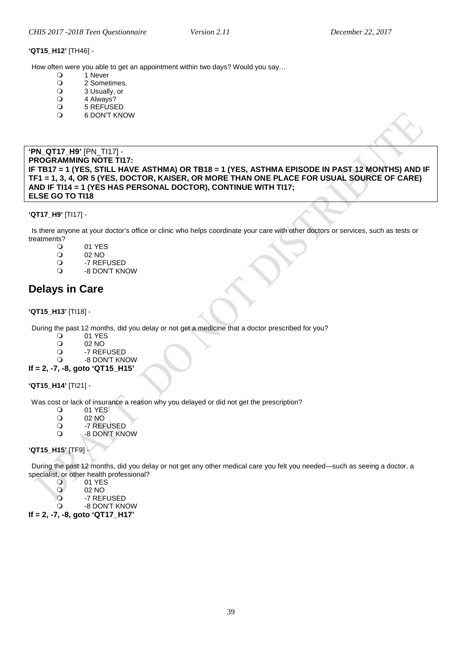#### **'QT15\_H12'** [TH46] -

How often were you able to get an appointment within two days? Would you say...<br>  $Q = 1$  Never

- O 1 Never<br>O 2 Some
- O 2 Sometimes,<br>O 3 Usually, or
- Q 3 Usually, or<br>Q 4 Always?
- O 4 Always?<br>O 5 REFUSE
- O 5 REFUSED<br>O 6 DON'T KN
- 6 DON'T KNOW

<span id="page-38-0"></span>**'PN\_QT17\_H9'** [PN\_TI17] - **PROGRAMMING NOTE TI17: IF TB17 = 1 (YES, STILL HAVE ASTHMA) OR TB18 = 1 (YES, ASTHMA EPISODE IN PAST 12 MONTHS) AND IF TF1 = 1, 3, 4, OR 5 (YES, DOCTOR, KAISER, OR MORE THAN ONE PLACE FOR USUAL SOURCE OF CARE) AND IF TI14 = 1 (YES HAS PERSONAL DOCTOR), CONTINUE WITH TI17; ELSE GO TO TI18**

#### **'QT17\_H9'** [TI17] -

Is there anyone at your doctor's office or clinic who helps coordinate your care with other doctors or services, such as tests or treatments?

- O 01 YES<br>O 02 NO
- O 02 NO<br>O -7 REF
- O -7 REFUSED<br>O -8 DON'T KN
- -8 DON'T KNOW

# <span id="page-38-1"></span>**Delays in Care**

#### **'QT15\_H13'** [TI18] -

During the past 12 months, did you delay or not get a medicine that a doctor prescribed for you?<br>  $Q = 01$  YFS

- O 01 YES<br>O 02 NO
- O 02 NO<br>O -7 REF
- O -7 REFUSED<br>O -8 DON'T KN
- -8 DON'T KNOW
- **If = 2, -7, -8, goto 'QT15\_H15'**

# **'QT15\_H14'** [TI21] -

Was cost or lack of insurance a reason why you delayed or did not get the prescription?

- 01 YES<br>02 NO
	- 02 NO
- O -7 REFUSED
	- -8 DON'T KNOW

# **'QT15\_H15'** [TF9] -

During the past 12 months, did you delay or not get any other medical care you felt you needed—such as seeing a doctor, a specialist, or other health professional?

- 0 01 YES
- 02 NO<br>02 NO<br>22 REF
- O -7 REFUSED<br>O -8 DON'T KN
- -8 DON'T KNOW **If = 2, -7, -8, goto 'QT17\_H17'**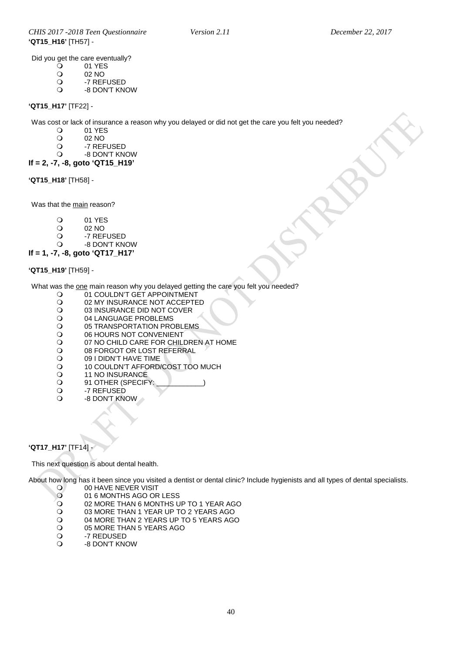Did you get the care eventually?<br> $Q = 01$  YES

- O 01 YES<br>O 02 NO
- O 02 NO<br>O -7 REF
- O -7 REFUSED<br>O -8 DON'T KN
- -8 DON'T KNOW

#### **'QT15\_H17'** [TF22] -

Was cost or lack of insurance a reason why you delayed or did not get the care you felt you needed?<br>  $Q = 01$  YFS

- O 01 YES<br>O 02 NO
- O 02 NO<br>O -7 REF
- O -7 REFUSED<br>O -8 DON'T KNO
- -8 DON'T KNOW
- **If = 2, -7, -8, goto 'QT15\_H19'**

#### **'QT15\_H18'** [TH58] -

Was that the main reason?

- 
- 01 YES<br>02 NO
- O 02 NO<br>O -7 REF O -7 REFUSED
- -8 DON'T KNOW
- **If = 1, -7, -8, goto 'QT17\_H17'**

#### **'QT15\_H19'** [TH59] -

What was the one main reason why you delayed getting the care you felt you needed?

- O 01 COULDN'T GÉT APPOINTMENT<br>O 02 MY INSURANCE NOT ACCEPTE
- O 02 MY INSURANCE NOT ACCEPTED<br>O 03 INSURANCE DID NOT COVER
- O 03 INSURANCE DID NOT COVER<br>O 04 LANGUAGE PROBLEMS
- O 04 LANGUAGE PROBLEMS<br>O 05 TRANSPORTATION PRO
- O 05 TRANSPORTATION PROBLEMS<br>O 06 HOURS NOT CONVENIENT
- O 06 HOURS NOT CONVENIENT<br>O 07 NO CHILD CARE FOR CHIL
- O 07 NO CHILD CARE FOR CHILDREN AT HOME<br>O 08 FORGOT OR LOST REFERRAL
- O 08 FORGOT OR LOST REFERRAL<br>O 09 I DIDN'T HAVE TIME
- O 09 I DIDN'T HAVE TIME<br>O 10 COULDN'T AFFORD/
- 0 10 COULDN'T AFFORD/COST TOO MUCH
- O 11 NO INSURANCE<br>
O 91 OTHER (SPECIF
- O 91 OTHER (SPECIFY<br>O -7 REFUSED
- O -7 REFUSED<br>O -8 DON'T KN
- -8 DON'T KNOW

# **'QT17\_H17'** [TF14] -

<span id="page-39-0"></span>Dental Health

This next question is about dental health.

About how long has it been since you visited a dentist or dental clinic? Include hygienists and all types of dental specialists.<br>
O 00 HAVE NEVER VISIT

- O 00 HAVE NEVER VISIT<br>O 01 6 MONTHS AGO OR
- O 01 6 MONTHS AGO OR LESS<br>O 02 MORE THAN 6 MONTHS U
- O 02 MORE THAN 6 MONTHS UP TO 1 YEAR AGO<br>O 03 MORE THAN 1 YEAR UP TO 2 YEARS AGO
- O 03 MORE THAN 1 YEAR UP TO 2 YEARS AGO<br>O 04 MORE THAN 2 YEARS UP TO 5 YEARS AGO
- O 04 MORE THAN 2 YEARS UP TO 5 YEARS AGO<br>O 05 MORE THAN 5 YEARS AGO
- O 05 MORE THAN 5 YEARS AGO<br>O -7 REDUSED
- O -7 REDUSED<br>O -8 DON'T KNO -8 DON'T KNOW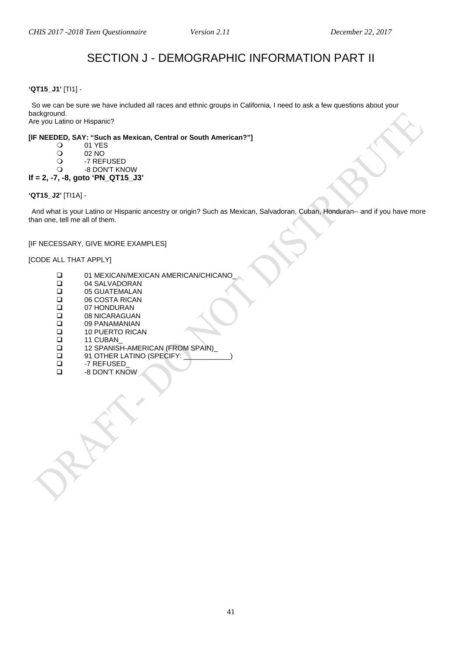# SECTION J - DEMOGRAPHIC INFORMATION PART II

# <span id="page-40-1"></span><span id="page-40-0"></span>**'QT15\_J1'** [TI1] -

So we can be sure we have included all races and ethnic groups in California, I need to ask a few questions about your background. Are you Latino or Hispanic?

**[IF NEEDED, SAY: "Such as Mexican, Central or South American?"]**

- 
- O 01 YES<br>O 02 NO
- O 02 NO<br>O -7 REF
- O -7 REFUSED<br>O -8 DON'T KN -8 DON'T KNOW
- **If = 2, -7, -8, goto 'PN\_QT15\_J3'**

#### **'QT15\_J2'** [TI1A] -

And what is your Latino or Hispanic ancestry or origin? Such as Mexican, Salvadoran, Cuban, Honduran-- and if you have more than one, tell me all of them.

#### [IF NECESSARY, GIVE MORE EXAMPLES]

[CODE ALL THAT APPLY]

- 01 MEXICAN/MEXICAN AMERICAN/CHICANO<br>04 SALVADORAN
- □ 04 SALVADORAN<br>□ 05 GUATEMALAN
- □ 05 GUATEMALAN<br>□ 06 COSTA RICAN
- □ 06 COSTA RICAN<br>□ 07 HONDURAN
- □ 07 HONDURAN<br>□ 08 NICARAGUA
- □ 08 NICARAGUAN<br>□ 09 PANAMANIAN
- □ 09 PANAMANIAN<br>□ 10 PUERTO RICA □ 10 PUERTO RICAN<br>□ 11 CUBAN
- 
- □ 11 CUBAN\_<br>□ 12 SPANISH 12 SPANISH-AMERICAN (FROM SPAIN)<br>12 91 OTHER LATINO (SPECIFY:
- □ 91 OTHER LATINO (SPECIFY: \_<br>□ 27 REFUSED
- □ -7 REFUSED<br>□ -8 DON'T KNO
- -8 DON'T KNOW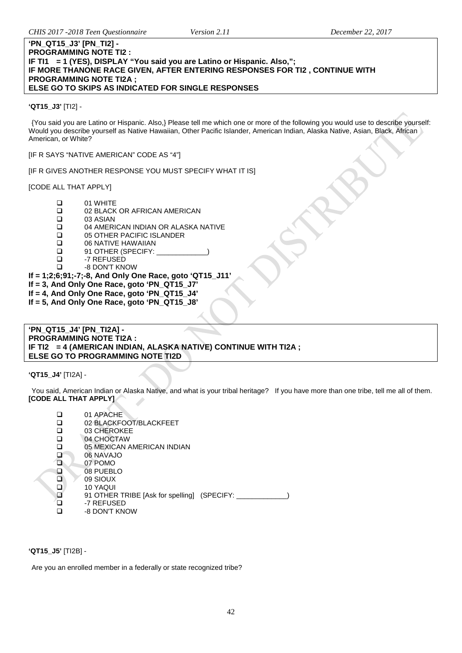#### **'PN\_QT15\_J3' [PN\_TI2] - PROGRAMMING NOTE TI2 : IF TI1 = 1 (YES), DISPLAY "You said you are Latino or Hispanic. Also,"; IF MORE THANONE RACE GIVEN, AFTER ENTERING RESPONSES FOR TI2 , CONTINUE WITH PROGRAMMING NOTE TI2A ; ELSE GO TO SKIPS AS INDICATED FOR SINGLE RESPONSES**

**'QT15\_J3'** [TI2] -

{You said you are Latino or Hispanic. Also,} Please tell me which one or more of the following you would use to describe yourself: Would you describe yourself as Native Hawaiian, Other Pacific Islander, American Indian, Alaska Native, Asian, Black, African American, or White?

[IF R SAYS "NATIVE AMERICAN" CODE AS "4"]

[IF R GIVES ANOTHER RESPONSE YOU MUST SPECIFY WHAT IT IS]

[CODE ALL THAT APPLY]

- $\Box$  01 WHITE
- □ 02 BLACK OR AFRICAN AMERICAN<br>□ 03 ASIAN
- $\Box$  03 ASIAN<br> $\Box$  04 AMERI
- 04 AMERICAN INDIAN OR ALASKA NATIVE
- □ 05 OTHER PACIFIC ISLANDER<br>□ 06 NATIVE HAWAIIAN
- □ 06 NATIVE HAWAIIAN<br>□ 91 OTHER (SPECIFY:
- □ 91 OTHER (SPECIFY:<br>□ -7 REFUSED
- ם -7 REFUSED<br>D -8 DON'T KN
	- -8 DON'T KNOW

**If = 1;2;6;91;-7;-8, And Only One Race, goto 'QT15\_J11'**

- **If = 3, And Only One Race, goto 'PN\_QT15\_J7'**
- **If = 4, And Only One Race, goto 'PN\_QT15\_J4'**
- **If = 5, And Only One Race, goto 'PN\_QT15\_J8'**

#### **'PN\_QT15\_J4' [PN\_TI2A] - PROGRAMMING NOTE TI2A : IF TI2 = 4 (AMERICAN INDIAN, ALASKA NATIVE) CONTINUE WITH TI2A ; ELSE GO TO PROGRAMMING NOTE TI2D**

**'QT15\_J4'** [TI2A] -

You said, American Indian or Alaska Native, and what is your tribal heritage? If you have more than one tribe, tell me all of them. **[CODE ALL THAT APPLY]**

| ◻ | 01 APACHE<br>02 BLACKFOOT/BLACKFEET         |
|---|---------------------------------------------|
| □ | 03 CHEROKEE                                 |
| □ | 04 CHOCTAW                                  |
|   | 05 MEXICAN AMERICAN INDIAN                  |
| ◪ | 06 NAVAJO                                   |
| ⊡ | 07 POMO                                     |
| ⊡ | 08 PUEBLO                                   |
| □ | 09 SIOUX                                    |
| □ | 10 YAQUI                                    |
| ⊡ | 91 OTHER TRIBE [Ask for spelling] (SPECIFY: |
|   | -7 REFUSED                                  |
|   | -8 DON'T KNOW                               |

**'QT15\_J5'** [TI2B] -

Are you an enrolled member in a federally or state recognized tribe?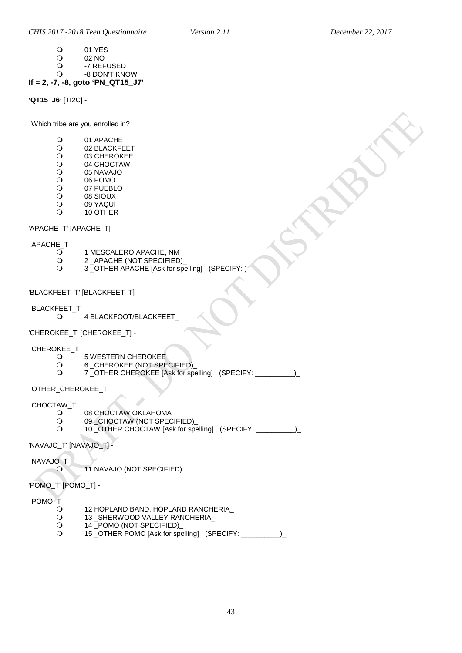- O 01 YES<br>O 02 NO
- O 02 NO<br>O -7 REF
	- O -7 REFUSED<br>O -8 DON'T KN -8 DON'T KNOW

# **If = 2, -7, -8, goto 'PN\_QT15\_J7'**

**'QT15\_J6'** [TI2C] -

Which tribe are you enrolled in?

- O 01 APACHE<br>O 02 BLACKFI
- O 02 BLACKFEET<br>O 03 CHEROKEE
- O 03 CHEROKEE<br>O 04 CHOCTAW
- O 04 CHOCTAW<br>O 05 NAVAJO
- O 05 NAVAJO<br>O 06 POMO
- O
06 POMO
0
7
PUEBL
- O 07 PUEBLO<br>O 08 SIOUX
- O 08 SIOUX<br>O 09 YAQUI O 09 YAQUI<br>O 10 OTHER
- 10 OTHER

'APACHE\_T' [APACHE\_T] -

# APACHE\_T

- O
1 MESCALERO APACHE, NM
O
2
APACHE (NOT SPECIFIED
- Q 2 \_APACHE (NOT SPECIFIED)<br>Q 3 OTHER APACHE IAsk for sp
	- 3 \_OTHER APACHE [Ask for spelling] (SPECIFY: )

'BLACKFEET\_T' [BLACKFEET\_T] -

- BLACKFEET\_T
	- 4 BLACKFOOT/BLACKFEET\_

'CHEROKEE\_T' [CHEROKEE\_T] -

# CHEROKEE\_T

- O 5 WESTERN CHEROKEE<br>O 6 CHEROKEE (NOT SPE
- O 6 \_CHEROKEE (NOT SPECIFIED)<br>O 7 OTHER CHEROKEE IAsk for spe
- 7 \_OTHER CHEROKEE [Ask for spelling] (SPECIFY: \_\_\_\_\_\_\_\_\_\_)\_

OTHER\_CHEROKEE\_T

# CHOCTAW\_T

- O 08 CHOCTAW OKLAHOMA<br>O 09 CHOCTAW (NOT SPEC
- O 09 CHOCTAW (NOT SPECIFIED)<br>O 10 OTHER CHOCTAW IAsk for spe
- 10 OTHER CHOCTAW [Ask for spelling] (SPECIFY:  $\qquad$ )

'NAVAJO\_T' [NAVAJO\_T] -

NAVAJO\_T

11 NAVAJO (NOT SPECIFIED)

'POMO\_T' [POMO\_T] -

POMO\_T

- 0 12 HOPLAND BAND, HOPLAND RANCHERIA\_<br>0 13\_SHERWOOD VALLEY RANCHERIA\_
- 0 13\_SHERWOOD VALLEY RANCHERIA\_<br>Q 14\_POMO (NOT SPECIFIED)
- Q 14 \_POMO (NOT SPECIFIED)\_<br>Q 15 OTHER POMO [Ask for spe
- 15 \_OTHER POMO [Ask for spelling] (SPECIFY: \_\_\_\_\_\_\_\_\_\_)\_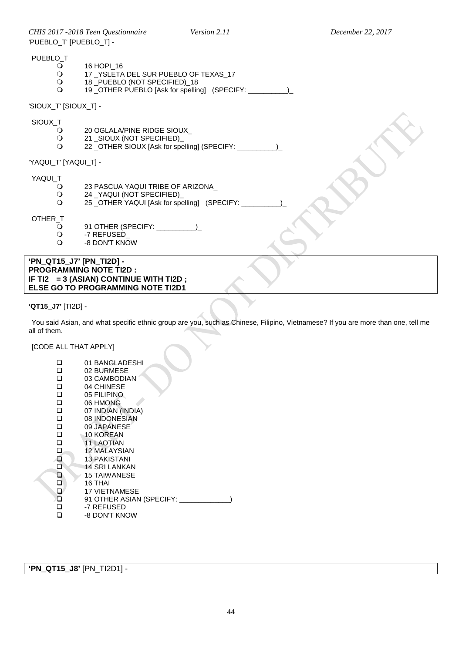*CHIS 2017 -2018 Teen Questionnaire Version 2.11 December 22, 2017* 'PUEBLO\_T' [PUEBLO\_T] -

| PUEBLO |
|--------|
|--------|

- O 16 HOPI\_16<br>O 17 YSLETA
	- 0 17 \_YSLETA DEL SUR PUEBLO OF TEXAS\_17<br>0 18 PUEBLO (NOT SPECIFIED) 18
	- 18 \_PUEBLO (NOT SPECIFIED)\_18<br>○ 19 OTHER PUEBLO [Ask for spellin
		- 19 \_OTHER PUEBLO [Ask for spelling] (SPECIFY: \_\_\_\_\_\_\_\_\_\_)\_

'SIOUX\_T' [SIOUX\_T] -

SIOUX\_T

- O 20 OGLALA/PINE RIDGE SIOUX\_<br>O 21 SIOUX (NOT SPECIFIED)
- Q 21 \_SIOUX (NOT SPECIFIED)<br>Q 22 OTHER SIOUX [Ask for specified]
	- 22 \_OTHER SIOUX [Ask for spelling] (SPECIFY: \_\_\_\_\_\_\_\_\_\_)\_

'YAQUI\_T' [YAQUI\_T] -

YAQUI\_T<br>Q

- O 23 PASCUA YAQUI TRIBE OF ARIZONA\_<br>O 24 YAQUI (NOT SPECIFIED)
- Q 24 \_YAQUI (NOT SPECIFIED)<br>Q 25 OTHER YAQUI IAsk for spe
- 25 \_OTHER YAQUI [Ask for spelling] (SPECIFY: \_\_\_\_\_\_\_\_\_\_)\_

OTHER\_T

- \_\_<br>〇 91 OTHER (SPECIFY: \_\_\_\_\_\_\_\_\_\_\_)\_<br>〇 -7 REFUSED\_
- O -7 REFUSED<br>Q -8 DON'T KN
- -8 DON'T KNOW

**'PN\_QT15\_J7' [PN\_TI2D] - PROGRAMMING NOTE TI2D : IF TI2 = 3 (ASIAN) CONTINUE WITH TI2D ; ELSE GO TO PROGRAMMING NOTE TI2D1** 

#### **'QT15\_J7'** [TI2D] -

You said Asian, and what specific ethnic group are you, such as Chinese, Filipino, Vietnamese? If you are more than one, tell me all of them.

[CODE ALL THAT APPLY]

□ 01 BANGLADESHI<br>□ 02 BURMESE □ 02 BURMESE<br>□ 03 CAMBODI/ □ 03 CAMBODIAN<br>□ 04 CHINESE  $\Box$  04 CHINESE □ 05 FILIPINO<br>□ 06 HMONG □ 06 HMONG<br>□ 07 INDIAN ( □ 07 INDIAN (INDIA)<br>□ 08 INDONESIAN □ 08 INDONESIAN<br>□ 09 JAPANESE **□** 09 JAPANESE<br>□ 10 KOREAN □ 10 KOREAN<br>□ 11 LAOTIAN <sup>11</sup> LAOTIAN<br>12 MALAYSI 12 MALAYSIAN<br>13 PAKISTANI 13 PAKISTANI<br>14 SRI LANKA  $\Box$  14 SRI LANKAN<br> $\Box$  15 TAIWANESE 15 TAIWANESE 16 THAI<br>17 VIET 17 VIETNAMESE ים g1 OTHER ASIAN (SPECIFY: \_\_\_\_\_\_\_\_\_\_\_\_)<br>ים −-7 REFUSED □ -7 REFUSED<br>□ -8 DON'T KN -8 DON'T KNOW

**'PN\_QT15\_J8'** [PN\_TI2D1] -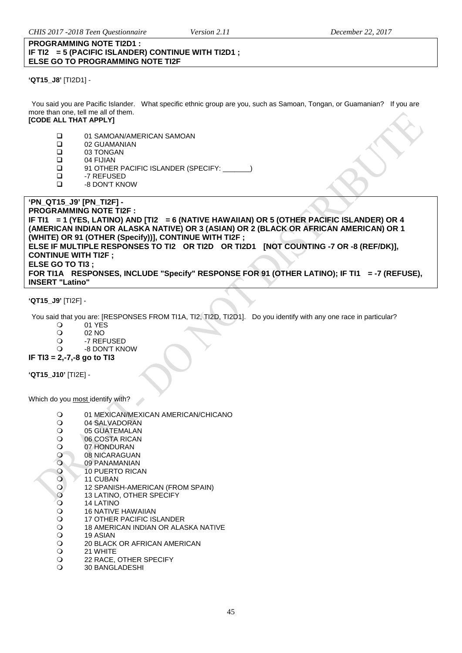#### **PROGRAMMING NOTE TI2D1 : IF TI2 = 5 (PACIFIC ISLANDER) CONTINUE WITH TI2D1 ; ELSE GO TO PROGRAMMING NOTE TI2F**

**'QT15\_J8'** [TI2D1] -

You said you are Pacific Islander. What specific ethnic group are you, such as Samoan, Tongan, or Guamanian? If you are more than one, tell me all of them. **[CODE ALL THAT APPLY]**

# 01 SAMOAN/AMERICAN SAMOAN

- □ 02 GUAMANIAN<br>□ 03 TONGAN
- $\Box$  03 TONGAN<br> $\Box$  04 FIJIAN
- $\Box$  04 FIJIAN<br> $\Box$  91 OTHER
- 91 OTHER PACIFIC ISLANDER (SPECIFY: \_\_\_\_\_\_\_)
- □ -7 REFUSED<br>□ -8 DON'T KN
- -8 DON'T KNOW

#### **'PN\_QT15\_J9' [PN\_TI2F] - PROGRAMMING NOTE TI2F : IF TI1 = 1 (YES, LATINO) AND [TI2 = 6 (NATIVE HAWAIIAN) OR 5 (OTHER PACIFIC ISLANDER) OR 4 (AMERICAN INDIAN OR ALASKA NATIVE) OR 3 (ASIAN) OR 2 (BLACK OR AFRICAN AMERICAN) OR 1 (WHITE) OR 91 (OTHER (Specify))], CONTINUE WITH TI2F ; ELSE IF MULTIPLE RESPONSES TO TI2 OR TI2D OR TI2D1 [NOT COUNTING -7 OR -8 (REF/DK)], CONTINUE WITH TI2F ; ELSE GO TO TI3 ;** FOR TI1A RESPONSES, INCLUDE "Specify" RESPONSE FOR 91 (OTHER LATINO); IF TI1 = -7 (REFUSE), **INSERT "Latino"**

**'QT15\_J9'** [TI2F] -

You said that you are: [RESPONSES FROM TI1A, TI2, TI2D, TI2D1]. Do you identify with any one race in particular?

- 0 01 YES<br>02 NO
- 02 NO
- O -7 REFUSED<br>O -8 DON'T KN
- -8 DON'T KNOW

**IF TI3 = 2,-7,-8 go to TI3**

**'QT15\_J10'** [TI2E] -

Which do you most identify with?

- O 01 MEXICAN/MEXICAN AMERICAN/CHICANO<br>O 04 SALVADORAN
- O 04 SALVADORAN<br>O 05 GUATEMALAN
- O 05 GUATEMALAN<br>O 06 COSTA RICAN
- O 06 COSTA RICAN<br>O 07 HONDURAN
- O 07 HONDURAN<br>O 08 NICARAGUA
- O 08 NICARAGUAN<br>O 09 PANAMANIAN
- 09 PANAMANIAN
- O 10 PUERTO RICAN<br>O 11 CUBAN
- O 11 CUBAN<br>O 12 SPANIS
- O 12 SPANISH-AMERICAN (FROM SPAIN)<br>O 13 LATINO, OTHER SPECIFY
- O 13 LATINO, OTHER SPECIFY<br>O 14 LATINO 14 LATINO
- 16 NATIVE HAWAIIAN
- 
- O 17 OTHER PACIFIC ISLANDER<br>O 18 AMERICAN INDIAN OR ALAS O 18 AMERICAN INDIAN OR ALASKA NATIVE<br>O 19 ASIAN
- 
- O 19 ASIAN<br>O 20 BLACK O 20 BLACK OR AFRICAN AMERICAN<br>O 21 WHITE
- 21 WHITE
- O 22 RACE, OTHER SPECIFY
- 30 BANGLADESHI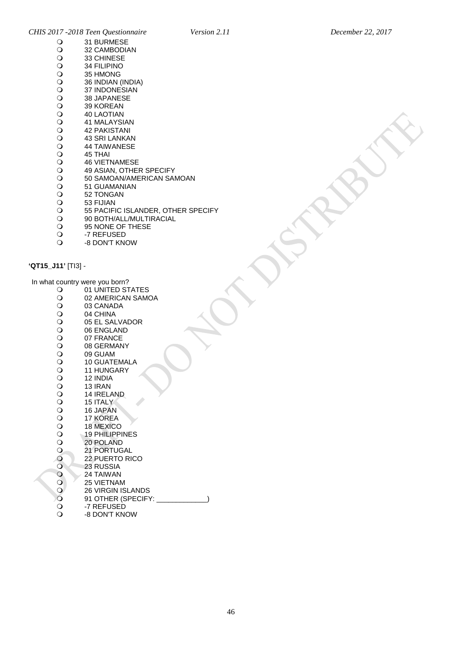| 31 BURMESE                         |
|------------------------------------|
| 32 CAMBODIAN                       |
| 33 CHINESE                         |
| <b>34 FILIPINO</b>                 |
| 35 HMONG                           |
| 36 INDIAN (INDIA)                  |
| <b>37 INDONESIAN</b>               |
| 38 JAPANESE                        |
| <b>39 KOREAN</b>                   |
| <b>40 LAOTIAN</b>                  |
| 41 MALAYSIAN                       |
| <b>42 PAKISTANI</b>                |
| 43 SRI LANKAN                      |
| <b>44 TAIWANESE</b>                |
| 45 THAI                            |
| <b>46 VIETNAMESE</b>               |
| 49 ASIAN, OTHER SPECIFY            |
| 50 SAMOAN/AMERICAN SAMOAN          |
| 51 GUAMANIAN                       |
| 52 TONGAN                          |
| 53 FIJIAN                          |
| 55 PACIFIC ISLANDER, OTHER SPECIFY |
| 90 BOTH/ALL/MULTIRACIAL            |
| 95 NONE OF THESE                   |
|                                    |

- -7 REFUSED
- -8 DON'T KNOW

# <span id="page-45-0"></span>**'QT15\_J11'** [TI3] -

In what country were you born?

<span id="page-45-1"></span>

|                          | <b>COUTTLY WORD YOU DOTTLE</b> |
|--------------------------|--------------------------------|
| $\mathbf O$              | 01 UNITED STATES               |
|                          | 02 AMERICAN SAMOA              |
|                          | 03 CANADA                      |
|                          | 04 CHINA                       |
|                          | 05 EL SALVADOR                 |
|                          | 06 ENGLAND                     |
|                          | 07 FRANCE                      |
|                          | 08 GERMANY                     |
|                          | 09 GUAM                        |
|                          | <b>10 GUATEMALA</b>            |
|                          | <b>11 HUNGARY</b>              |
|                          | 12 INDIA                       |
|                          | 13 IRAN                        |
|                          | 14 IRELAND                     |
|                          | 15 ITALY                       |
|                          | 16 JAPAN                       |
|                          | 17 KOREA                       |
|                          | <b>18 MEXICO</b>               |
|                          | <b>19 PHILIPPINES</b>          |
|                          | 20 POLAND                      |
|                          | 21 PORTUGAL                    |
|                          | <b>22 PUERTO RICO</b>          |
|                          | 23 RUSSIA                      |
|                          | 24 TAIWAN                      |
|                          | <b>25 VIETNAM</b>              |
|                          | <b>26 VIRGIN ISLANDS</b>       |
| 000000000000000000000000 | 91 OTHER (SPECIFY:             |
|                          | -7 REFUSED                     |
|                          | -8 DON'T KNOW                  |
|                          |                                |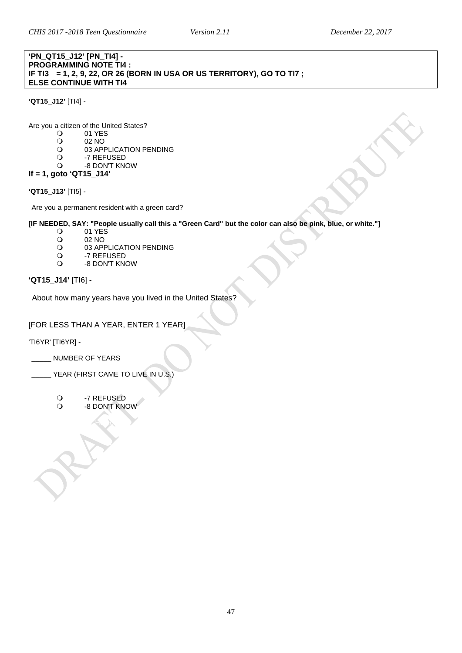### **'PN\_QT15\_J12' [PN\_TI4] - PROGRAMMING NOTE TI4 : IF TI3 = 1, 2, 9, 22, OR 26 (BORN IN USA OR US TERRITORY), GO TO TI7 ; ELSE CONTINUE WITH TI4**

**'QT15\_J12'** [TI4] -

Are you a citizen of the United States?<br> $Q = 01$  YFS

- O 01 YES<br>O 02 NO
- O 02 NO<br>O 03 APP
- O 03 APPLICATION PENDING<br>O -7 REFUSED
- O -7 REFUSED<br>O -8 DON'T KN
- -8 DON'T KNOW **If = 1, goto 'QT15\_J14'**

**'QT15\_J13'** [TI5] -

Are you a permanent resident with a green card?

**[IF NEEDED, SAY: "People usually call this a "Green Card" but the color can also be pink, blue, or white."]**

- O 01 YES<br>O 02 NO
- O 02 NO<br>O 03 APP
- O 03 APPLICATION PENDING<br>O 7 REFUSED
- O -7 REFUSED -8 DON'T KNOW
- 

# **'QT15\_J14'** [TI6] -

About how many years have you lived in the United States?

# [FOR LESS THAN A YEAR, ENTER 1 YEAR]

'TI6YR' [TI6YR] -

\_\_\_\_\_ NUMBER OF YEARS

<span id="page-46-0"></span>Language Spoken at Home

- YEAR (FIRST CAME TO LIVE IN U.S.)
	- O -7 REFUSED<br>O -8 DON'T KN
	- -8 DON'T KNOW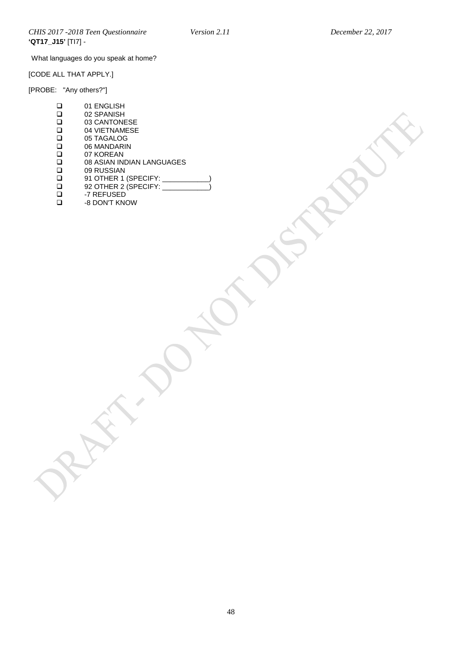What languages do you speak at home?

[CODE ALL THAT APPLY.]

[PROBE: "Any others?"]

| ◻      | 01 ENGLISH                |
|--------|---------------------------|
| □      | 02 SPANISH                |
| ❏      | 03 CANTONESE              |
| □      | 04 VIETNAMESE             |
| ❏      | 05 TAGALOG                |
| □      | 06 MANDARIN               |
| □      | 07 KOREAN                 |
| □      | 08 ASIAN INDIAN LANGUAGES |
| $\Box$ | 09 RUSSIAN                |
| ❏      | 91 OTHER 1 (SPECIFY: ____ |
| □      | 92 OTHER 2 (SPECIFY: __   |
| ❏      | -7 REFUSED                |
| ◻      | -8 DON'T KNOW             |
|        |                           |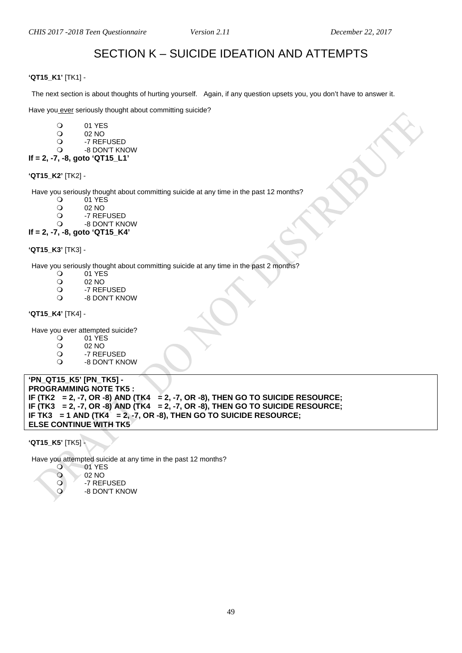# SECTION K – SUICIDE IDEATION AND ATTEMPTS

#### <span id="page-48-0"></span>**'QT15\_K1'** [TK1] -

The next section is about thoughts of hurting yourself. Again, if any question upsets you, you don't have to answer it.

Have you ever seriously thought about committing suicide?

- O 01 YES<br>O 02 NO
- O 02 NO<br>O -7 REF
- O -7 REFUSED<br>O -8 DON'T KN
- -8 DON'T KNOW
- **If = 2, -7, -8, goto 'QT15\_L1'**

**'QT15\_K2'** [TK2] -

Have you seriously thought about committing suicide at any time in the past 12 months?<br>
O 01 YES

- O 01 YES<br>O 02 NO
- O 02 NO<br>O -7 REF
- O -7 REFUSED<br>O -8 DON'T KN
- -8 DON'T KNOW
- **If = 2, -7, -8, goto 'QT15\_K4'**

#### **'QT15\_K3'** [TK3] -

Have you seriously thought about committing suicide at any time in the past 2 months?<br>  $Q = 01$  YES

- O 01 YES<br>O 02 NO
- O 02 NO<br>O -7 REF
- O -7 REFUSED<br>O -8 DON'T KN
- -8 DON'T KNOW

#### **'QT15\_K4'** [TK4] -

Have you ever attempted suicide?

- 01 YES<br>02 NO
- O 02 NO<br>O -7 REF
- O -7 REFUSED<br>O -8 DON'T KN
- -8 DON'T KNOW

**'PN\_QT15\_K5' [PN\_TK5] - PROGRAMMING NOTE TK5 : IF (TK2 = 2, -7, OR -8) AND (TK4 = 2, -7, OR -8), THEN GO TO SUICIDE RESOURCE; IF (TK3 = 2, -7, OR -8) AND (TK4 = 2, -7, OR -8), THEN GO TO SUICIDE RESOURCE; IF TK3 = 1 AND (TK4 = 2, -7, OR -8), THEN GO TO SUICIDE RESOURCE; ELSE CONTINUE WITH TK5**

**'QT15\_K5'** [TK5] -

Have you attempted suicide at any time in the past 12 months?

- 01 YES<br>02 NO
- 02 NO<br>0 -7 REF
- O -7 REFUSED
	- -8 DON'T KNOW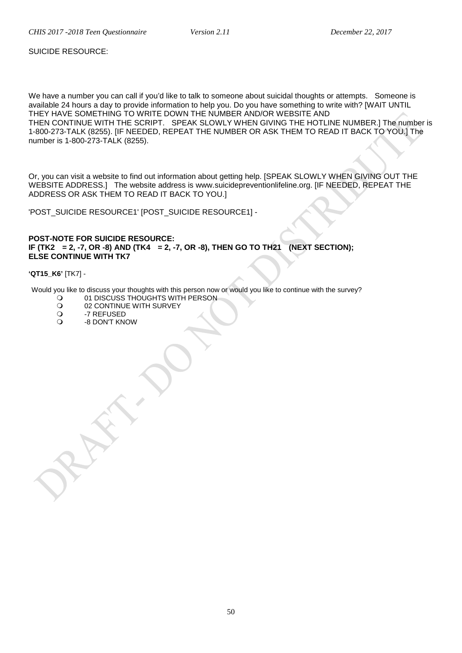SUICIDE RESOURCE:

We have a number you can call if you'd like to talk to someone about suicidal thoughts or attempts. Someone is available 24 hours a day to provide information to help you. Do you have something to write with? [WAIT UNTIL THEY HAVE SOMETHING TO WRITE DOWN THE NUMBER AND/OR WEBSITE AND THEN CONTINUE WITH THE SCRIPT. SPEAK SLOWLY WHEN GIVING THE HOTLINE NUMBER.] The number is 1-800-273-TALK (8255). [IF NEEDED, REPEAT THE NUMBER OR ASK THEM TO READ IT BACK TO YOU.] The number is 1-800-273-TALK (8255).

Or, you can visit a website to find out information about getting help. [SPEAK SLOWLY WHEN GIVING OUT THE WEBSITE ADDRESS.] The website address is www.suicidepreventionlifeline.org. [IF NEEDED, REPEAT THE ADDRESS OR ASK THEM TO READ IT BACK TO YOU.]

'POST\_SUICIDE RESOURCE1' [POST\_SUICIDE RESOURCE1] -

### **POST-NOTE FOR SUICIDE RESOURCE: IF (TK2 = 2, -7, OR -8) AND (TK4 = 2, -7, OR -8), THEN GO TO TH21 (NEXT SECTION); ELSE CONTINUE WITH TK7**

#### **'QT15\_K6'** [TK7] -

Would you like to discuss your thoughts with this person now or would you like to continue with the survey?<br>
O 01 DISCUSS THOUGHTS WITH PERSON

- O 01 DISCUSS THOUGHTS WITH PERSON<br>O 02 CONTINUE WITH SURVEY
- O 02 CONTINUE WITH SURVEY<br>O 3 -7 REFUSED
- O -7 REFUSED<br>O -8 DON'T KN
- -8 DON'T KNOW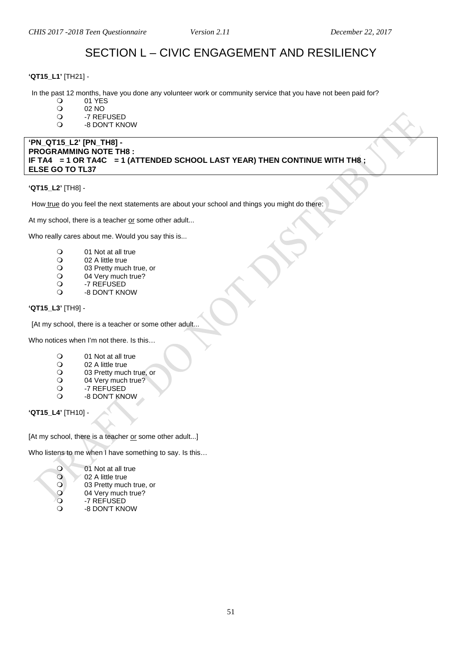# SECTION L – CIVIC ENGAGEMENT AND RESILIENCY

#### <span id="page-50-0"></span>**'QT15\_L1'** [TH21] -

In the past 12 months, have you done any volunteer work or community service that you have not been paid for?<br>  $Q = 01$  YFS

- O 01 YES<br>O 02 NO
- O 02 NO<br>O -7 REF
- O -7 REFUSED
- -8 DON'T KNOW

#### **'PN\_QT15\_L2' [PN\_TH8] - PROGRAMMING NOTE TH8 : IF TA4 = 1 OR TA4C = 1 (ATTENDED SCHOOL LAST YEAR) THEN CONTINUE WITH TH8 ; ELSE GO TO TL37**

#### **'QT15\_L2'** [TH8] -

How true do you feel the next statements are about your school and things you might do there:

At my school, there is a teacher or some other adult...

Who really cares about me. Would you say this is...

- O 01 Not at all true<br>
O 02 A little true
- O 02 A little true<br>O 03 Pretty muc
- O 03 Pretty much true, or<br>
O 04 Very much true?
- O 04 Very much true?<br>
O -7 REFUSED
- O -7 REFUSED<br>O -8 DON'T KN
- -8 DON'T KNOW

#### **'QT15\_L3'** [TH9] -

[At my school, there is a teacher or some other adult..

Who notices when I'm not there. Is this…

- O 01 Not at all true<br>
O 02 A little true
- O 02 A little true<br>O 03 Pretty muc
- O 03 Pretty much true, or<br>
O 04 Very much true?
- O 04 Very much true?<br>
O -7 REFUSED
- O -7 REFUSED<br>O -8 DON'T KN
- -8 DON'T KNOW

**'QT15\_L4'** [TH10] -

[At my school, there is a teacher or some other adult...]

Who listens to me when I have something to say. Is this…

- 
- O 01 Not at all true<br>O 02 A little true 02 A little true
- O 03 Pretty much true, or<br>
O 04 Verv much true?
- O 04 Very much true?<br>
O -7 REFUSED
- O -7 REFUSED<br>O -8 DON'T KN
- -8 DON'T KNOW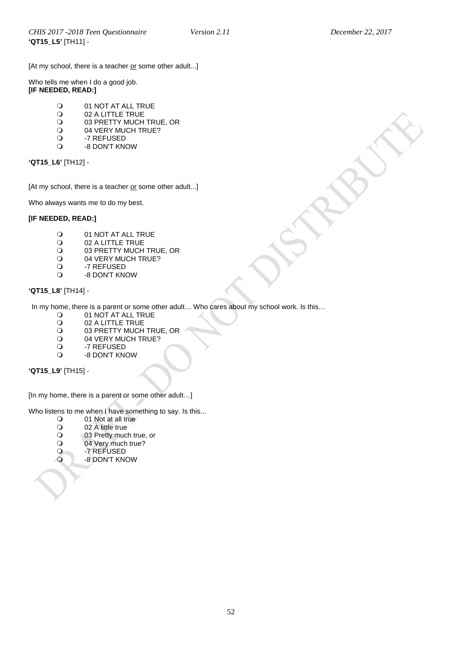[At my school, there is a teacher or some other adult...]

Who tells me when I do a good job. **[IF NEEDED, READ:]**

- O 01 NOT AT ALL TRUE<br>O 02 A LITTLE TRUE
- O 02 A LITTLE TRUE<br>
O 03 PRETTY MUCH
- O 03 PRETTY MUCH TRUE, OR<br>O 04 VERY MUCH TRUE?
- O 04 VERY MUCH TRUE?<br>O -7 REFUSED
- O -7 REFUSED<br>O -8 DON'T KN -8 DON'T KNOW

# **'QT15\_L6'** [TH12] -

[At my school, there is a teacher or some other adult...]

Who always wants me to do my best.

#### **[IF NEEDED, READ:]**

- O 01 NOT AT ALL TRUE<br>O 02 A LITTLE TRUE
- O 02 A LITTLE TRUE<br>
O 03 PRETTY MUCH
- O 03 PRETTY MUCH TRUE, OR<br>O 04 VERY MUCH TRUE?
- O 04 VERY MUCH TRUE?<br>O -7 REFUSED
- O -7 REFUSED<br>O -8 DON'T KN
- -8 DON'T KNOW

# **'QT15\_L8'** [TH14] -

In my home, there is a parent or some other adult… Who cares about my school work. Is this…

- 
- O 01 NOT AT ALL TRUE<br>O 02 A LITTLE TRUE O 02 A LITTLE TRUE<br>
O 03 PRETTY MUCH
- O 03 PRETTY MUCH TRUE, OR<br>O 04 VERY MUCH TRUE?
- O 04 VERY MUCH TRUE?<br>O -7 REFUSED
- O -7 REFUSED<br>O -8 DON'T KN
- -8 DON'T KNOW

**'QT15\_L9'** [TH15] -

[In my home, there is a parent or some other adult…]

Who listens to me when I have something to say. Is this...<br>  $Q = 01$  Not at all true

- O 01 Not at all true<br>O 02 A little true
- O 02 A little true<br>O 03 Pretty muc
- O 03 Pretty much true, or<br>
O 04 Very much true?
- 04 Very much true?
- O -7 REFUSED<br>O -8 DON'T KN
	- -8 DON'T KNOW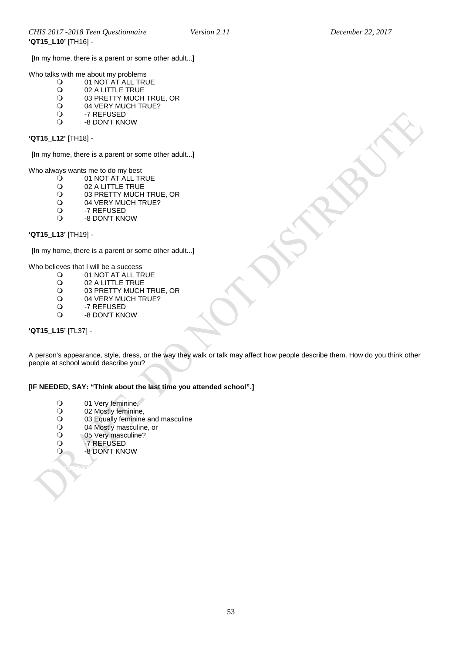[In my home, there is a parent or some other adult...]

Who talks with me about my problems<br> $Q = 01$  NOT AT ALL TRU

- O 01 NOT AT ALL TRUE<br>O 02 A LITTLE TRUE
- O 02 A LITTLE TRUE<br>
O 03 PRETTY MUCH
- O 03 PRETTY MUCH TRUE, OR<br>O 04 VERY MUCH TRUE?
- O 04 VERY MUCH TRUE?<br>O -7 REFUSED
- O -7 REFUSED<br>O -8 DON'T KN
- -8 DON'T KNOW

#### **'QT15\_L12'** [TH18] -

[In my home, there is a parent or some other adult...]

Who always wants me to do my best<br> $Q = 01$  NOT AT ALL TF

- O 01 NOT AT ALL TRUE<br>O 02 A LITTLE TRUE
- O 02 A LITTLE TRUE<br>
O 03 PRETTY MUCH
- O 03 PRETTY MUCH TRUE, OR<br>O 04 VERY MUCH TRUE?
- O 04 VERY MUCH TRUE?<br>O -7 REFUSED
- O -7 REFUSED<br>O -8 DON'T KN
- -8 DON'T KNOW

### **'QT15\_L13'** [TH19] -

[In my home, there is a parent or some other adult...]

Who believes that I will be a success<br> $\frac{O}{O} = 01 \text{ NOT AT ALL}$ 

- O 01 NOT AT ALL TRUE<br>O 02 A LITTLE TRUE
- O 02 A LITTLE TRUE<br>
O 03 PRETTY MUCH
- O 03 PRETTY MUCH TRUE, OR<br>O 04 VERY MUCH TRUE?
- O 04 VERY MUCH TRUE?<br>O -7 REFUSED
- O -7 REFUSED<br>O -8 DON'T KN
- -8 DON'T KNOW

# **'QT15\_L15'** [TL37] -

A person's appearance, style, dress, or the way they walk or talk may affect how people describe them. How do you think other people at school would describe you?

# **[IF NEEDED, SAY: "Think about the last time you attended school".]**

- O 01 Very feminine,<br>
O 02 Mostly feminine
- O 02 Mostly feminine,<br>
O 03 Equally feminine
- O 03 Equally feminine and masculine<br>
O 04 Mostly masculine, or
- O 04 Mostly masculine, or<br>O 05 Very masculine?
- O 05 Very masculine?<br>O -7 REFUSED
- -7 REFUSED

<span id="page-52-0"></span>Pre-Exposure Prophylaxis

-8 DON'T KNOW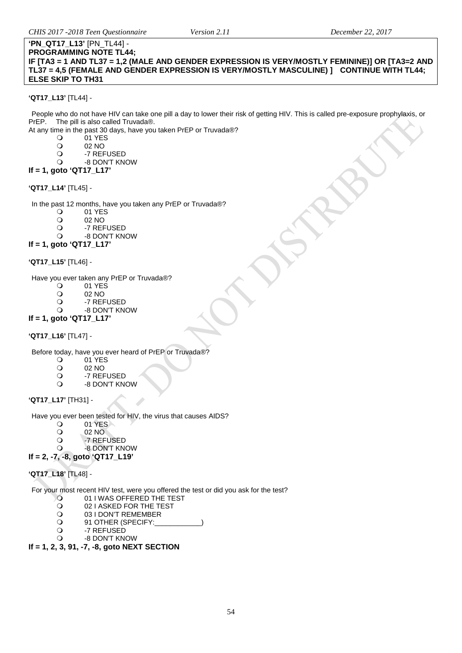#### **'PN\_QT17\_L13'** [PN\_TL44] - **PROGRAMMING NOTE TL44;**

**IF [TA3 = 1 AND TL37 = 1,2 (MALE AND GENDER EXPRESSION IS VERY/MOSTLY FEMININE)] OR [TA3=2 AND TL37 = 4,5 (FEMALE AND GENDER EXPRESSION IS VERY/MOSTLY MASCULINE) ] CONTINUE WITH TL44; ELSE SKIP TO TH31**

### **'QT17\_L13'** [TL44] -

People who do not have HIV can take one pill a day to lower their risk of getting HIV. This is called pre-exposure prophylaxis, or PrEP. The pill is also called Truvada®.

At any time in the past 30 days, have you taken PrEP or Truvada®?

- O 01 YES<br>O 02 NO
- O 02 NO<br>O -7 REF
- O -7 REFUSED
- -8 DON'T KNOW

# **If = 1, goto 'QT17\_L17'**

#### **'QT17\_L14'** [TL45] -

In the past 12 months, have you taken any PrEP or Truvada®?

- O 01 YES
- O 02 NO<br>O -7 REF
- O -7 REFUSED
- -8 DON'T KNOW

# **If = 1, goto 'QT17\_L17'**

#### **'QT17\_L15'** [TL46] -

Have you ever taken any PrEP or Truvada<sup>®</sup>?

- $\begin{matrix} 0 & 01 \ \end{matrix}$  YES<br> $\begin{matrix} 0 & 02 \ \end{matrix}$  NO
- O 02 NO<br>O -7 REF
- O -7 REFUSED
- -8 DON'T KNOW

# **If = 1, goto 'QT17\_L17'**

**'QT17\_L16'** [TL47] -

Before today, have you ever heard of PrEP or Truvada®?<br>
O 01 YES

- 0 01 YES
- O 02 NO<br>O -7 REF
- O -7 REFUSED
- -8 DON'T KNOW

#### <span id="page-53-0"></span>**'QT17\_L17'** [TH31] -

Have you ever been tested for HIV, the virus that causes AIDS?

- 01 YES<br>02 NO
- O 02 NO<br>O -7 REF
- O -7 REFUSED<br>O -8 DON'T KN
- -8 DON'T KNOW

# **If = 2, -7, -8, goto 'QT17\_L19'**

# **'QT17\_L18'** [TL48] -

For your most recent HIV test, were you offered the test or did you ask for the test?<br>
O 01 I WAS OFFERED THE TEST

- O 01 I WAS OFFERED THE TEST<br>O 02 I ASKED FOR THE TEST
- O 02 I ASKED FOR THE TEST<br>O 03 I DON'T REMEMBER
- O 03 I DON'T REMEMBER<br>
O 91 OTHER (SPECIFY:
- O 91 OTHER (SPECIFY:
- O -7 REFUSED<br>O -8 DON'T KN
- -8 DON'T KNOW

### **If = 1, 2, 3, 91, -7, -8, goto NEXT SECTION**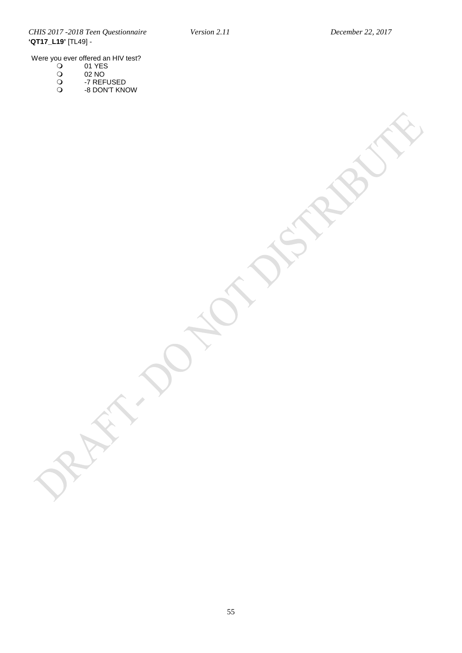*CHIS 2017 -2018 Teen Questionnaire Version 2.11 December 22, 2017* **'QT17\_L19'** [TL49] -

Were you ever offered an HIV test?

- 01 YES
- $\bigcirc$  02 NO
- -7 REFUSED
- -8 DON'T KNOW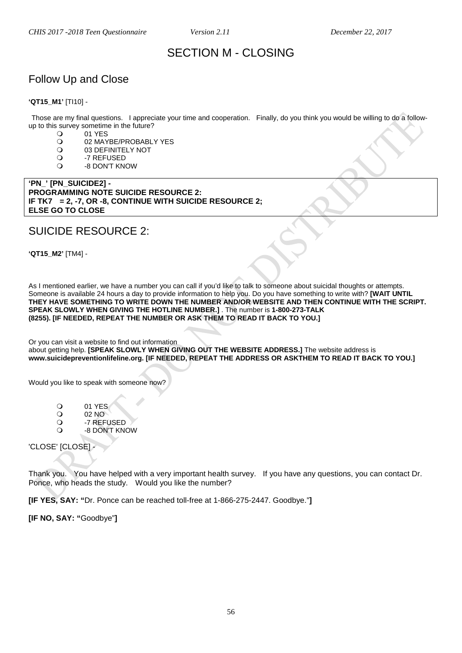# SECTION M - CLOSING

# <span id="page-55-1"></span><span id="page-55-0"></span>Follow Up and Close

#### **'QT15\_M1'** [TI10] -

Those are my final questions. I appreciate your time and cooperation. Finally, do you think you would be willing to do a followup to this survey sometime in the future?<br> $Q = 01 \text{ YFS}$ 

O 01 YES<br>O 02 MAY

- O 02 MAYBE/PROBABLY YES<br>O 03 DEFINITELY NOT
- O 03 DEFINITELY NOT<br>O -7 REFUSED
- O -7 REFUSED<br>O -8 DON'T KN
- -8 DON'T KNOW

**'PN\_' [PN\_SUICIDE2] - PROGRAMMING NOTE SUICIDE RESOURCE 2: IF TK7 = 2, -7, OR -8, CONTINUE WITH SUICIDE RESOURCE 2; ELSE GO TO CLOSE**

# SUICIDE RESOURCE 2:

**'QT15\_M2'** [TM4] -

As I mentioned earlier, we have a number you can call if you'd like to talk to someone about suicidal thoughts or attempts. Someone is available 24 hours a day to provide information to help you. Do you have something to write with? **[WAIT UNTIL THEY HAVE SOMETHING TO WRITE DOWN THE NUMBER AND/OR WEBSITE AND THEN CONTINUE WITH THE SCRIPT. SPEAK SLOWLY WHEN GIVING THE HOTLINE NUMBER.]** . The number is **1-800-273-TALK (8255). [IF NEEDED, REPEAT THE NUMBER OR ASK THEM TO READ IT BACK TO YOU.]**

Or you can visit a website to find out information about getting help. **[SPEAK SLOWLY WHEN GIVING OUT THE WEBSITE ADDRESS.]** The website address is **www.suicidepreventionlifeline.org. [IF NEEDED, REPEAT THE ADDRESS OR ASKTHEM TO READ IT BACK TO YOU.]**

Would you like to speak with someone now?

- O 01 YES
- 02 NO<br>Q -7 REF
- O -7 REFUSED
- -8 DON'T KNOW

'CLOSE' [CLOSE] -

Thank you. You have helped with a very important health survey. If you have any questions, you can contact Dr. Ponce, who heads the study.Would you like the number?

**[IF YES, SAY: "**Dr. Ponce can be reached toll-free at 1-866-275-2447. Goodbye."**]** 

**[IF NO, SAY: "**Goodbye"**]**